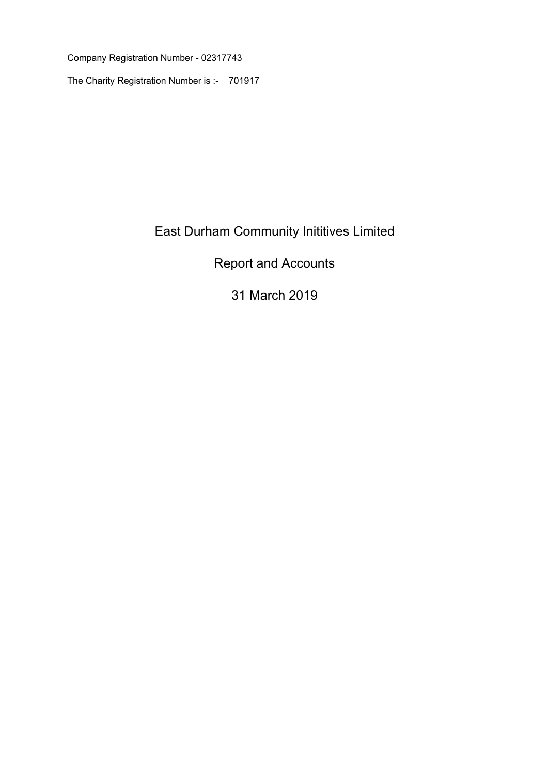Company Registration Number - 02317743

The Charity Registration Number is :- 701917

# East Durham Community Inititives Limited

# Report and Accounts

# 31 March 2019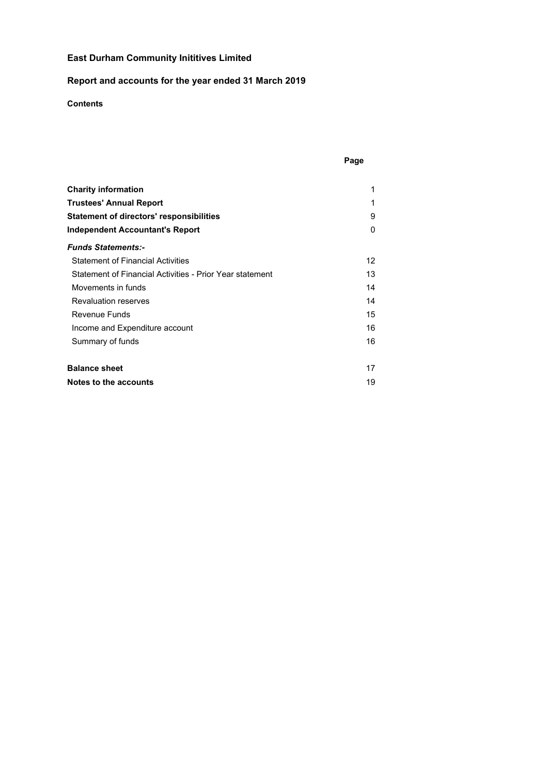# **Report and accounts for the year ended 31 March 2019**

# **Contents**

| ×<br>٧<br>I |
|-------------|
|-------------|

| <b>Charity information</b>                               | 1  |
|----------------------------------------------------------|----|
| <b>Trustees' Annual Report</b>                           | 1  |
| <b>Statement of directors' responsibilities</b>          | 9  |
| Independent Accountant's Report                          | 0  |
| <b>Funds Statements:-</b>                                |    |
| <b>Statement of Financial Activities</b>                 | 12 |
| Statement of Financial Activities - Prior Year statement | 13 |
| Movements in funds                                       | 14 |
| <b>Revaluation reserves</b>                              | 14 |
| Revenue Funds                                            | 15 |
| Income and Expenditure account                           | 16 |
| Summary of funds                                         | 16 |
| <b>Balance sheet</b>                                     | 17 |
| Notes to the accounts                                    | 19 |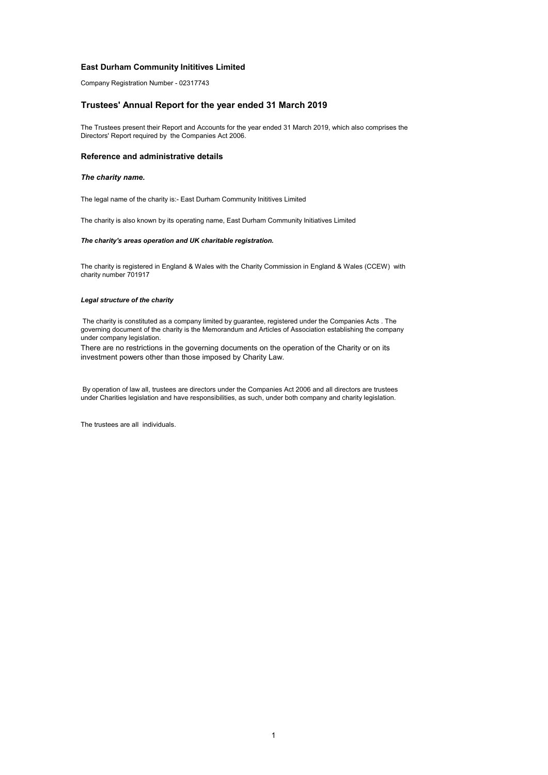Company Registration Number - 02317743

#### **Trustees' Annual Report for the year ended 31 March 2019**

The Trustees present their Report and Accounts for the year ended 31 March 2019, which also comprises the Directors' Report required by the Companies Act 2006.

#### **Reference and administrative details**

#### *The charity name.*

The legal name of the charity is:- East Durham Community Inititives Limited

The charity is also known by its operating name, East Durham Community Initiatives Limited

#### *The charity's areas operation and UK charitable registration.*

The charity is registered in England & Wales with the Charity Commission in England & Wales (CCEW) with charity number 701917

#### *Legal structure of the charity*

 The charity is constituted as a company limited by guarantee, registered under the Companies Acts . The governing document of the charity is the Memorandum and Articles of Association establishing the company under company legislation.

There are no restrictions in the governing documents on the operation of the Charity or on its investment powers other than those imposed by Charity Law.

 By operation of law all, trustees are directors under the Companies Act 2006 and all directors are trustees under Charities legislation and have responsibilities, as such, under both company and charity legislation.

The trustees are all individuals.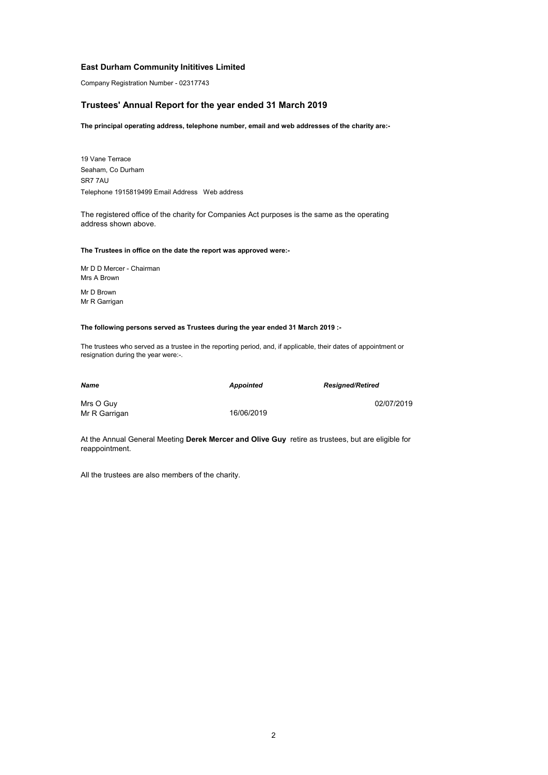Company Registration Number - 02317743

### **Trustees' Annual Report for the year ended 31 March 2019**

**The principal operating address, telephone number, email and web addresses of the charity are:-**

19 Vane Terrace Telephone 1915819499 Email Address Web address Seaham, Co Durham SR7 7AU

The registered office of the charity for Companies Act purposes is the same as the operating address shown above.

#### **The Trustees in office on the date the report was approved were:-**

Mrs A Brown Mr D D Mercer - Chairman

Mr D Brown Mr R Garrigan

#### **The following persons served as Trustees during the year ended 31 March 2019 :-**

The trustees who served as a trustee in the reporting period, and, if applicable, their dates of appointment or resignation during the year were:-.

| Name                       | <b>Appointed</b> | <b>Resigned/Retired</b> |
|----------------------------|------------------|-------------------------|
| Mrs O Guy<br>Mr R Garrigan | 16/06/2019       | 02/07/2019              |

At the Annual General Meeting **Derek Mercer and Olive Guy** retire as trustees, but are eligible for reappointment.

All the trustees are also members of the charity.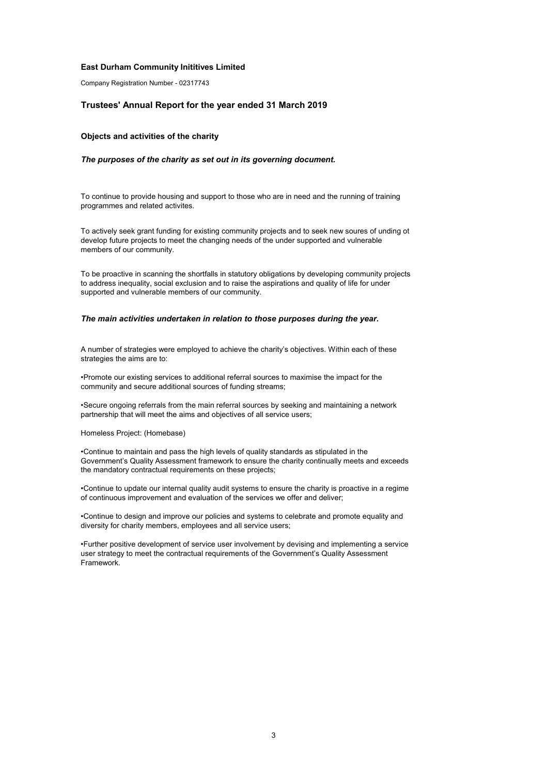Company Registration Number - 02317743

#### **Trustees' Annual Report for the year ended 31 March 2019**

#### **Objects and activities of the charity**

#### *The purposes of the charity as set out in its governing document.*

To continue to provide housing and support to those who are in need and the running of training programmes and related activites.

To actively seek grant funding for existing community projects and to seek new soures of unding ot develop future projects to meet the changing needs of the under supported and vulnerable members of our community.

To be proactive in scanning the shortfalls in statutory obligations by developing community projects to address inequality, social exclusion and to raise the aspirations and quality of life for under supported and vulnerable members of our community.

#### *The main activities undertaken in relation to those purposes during the year.*

A number of strategies were employed to achieve the charity's objectives. Within each of these strategies the aims are to:

•Promote our existing services to additional referral sources to maximise the impact for the community and secure additional sources of funding streams;

•Secure ongoing referrals from the main referral sources by seeking and maintaining a network partnership that will meet the aims and objectives of all service users;

#### Homeless Project: (Homebase)

•Continue to maintain and pass the high levels of quality standards as stipulated in the Government's Quality Assessment framework to ensure the charity continually meets and exceeds the mandatory contractual requirements on these projects;

•Continue to update our internal quality audit systems to ensure the charity is proactive in a regime of continuous improvement and evaluation of the services we offer and deliver;

•Continue to design and improve our policies and systems to celebrate and promote equality and diversity for charity members, employees and all service users;

•Further positive development of service user involvement by devising and implementing a service user strategy to meet the contractual requirements of the Government's Quality Assessment Framework.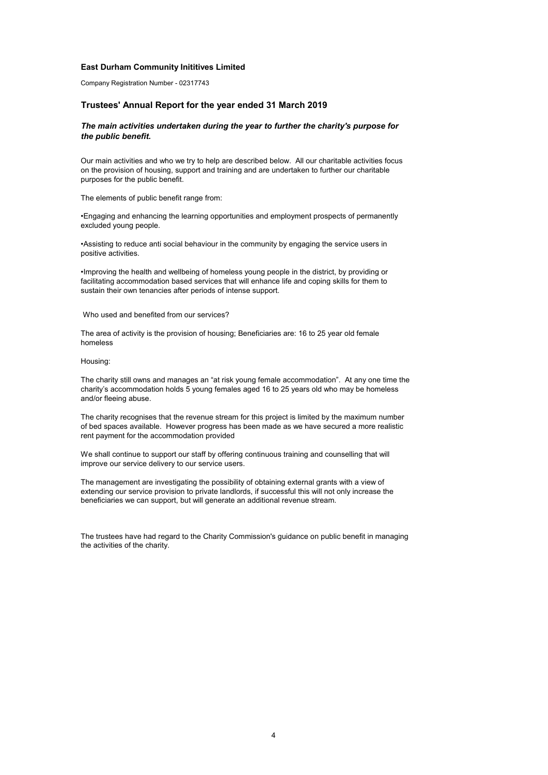Company Registration Number - 02317743

#### **Trustees' Annual Report for the year ended 31 March 2019**

### *The main activities undertaken during the year to further the charity's purpose for the public benefit.*

Our main activities and who we try to help are described below. All our charitable activities focus on the provision of housing, support and training and are undertaken to further our charitable purposes for the public benefit.

The elements of public benefit range from:

•Engaging and enhancing the learning opportunities and employment prospects of permanently excluded young people.

•Assisting to reduce anti social behaviour in the community by engaging the service users in positive activities.

•Improving the health and wellbeing of homeless young people in the district, by providing or facilitating accommodation based services that will enhance life and coping skills for them to sustain their own tenancies after periods of intense support.

Who used and benefited from our services?

The area of activity is the provision of housing; Beneficiaries are: 16 to 25 year old female homeless

Housing:

The charity still owns and manages an "at risk young female accommodation". At any one time the charity's accommodation holds 5 young females aged 16 to 25 years old who may be homeless and/or fleeing abuse.

The charity recognises that the revenue stream for this project is limited by the maximum number of bed spaces available. However progress has been made as we have secured a more realistic rent payment for the accommodation provided

We shall continue to support our staff by offering continuous training and counselling that will improve our service delivery to our service users.

The management are investigating the possibility of obtaining external grants with a view of extending our service provision to private landlords, if successful this will not only increase the beneficiaries we can support, but will generate an additional revenue stream.

The trustees have had regard to the Charity Commission's guidance on public benefit in managing the activities of the charity.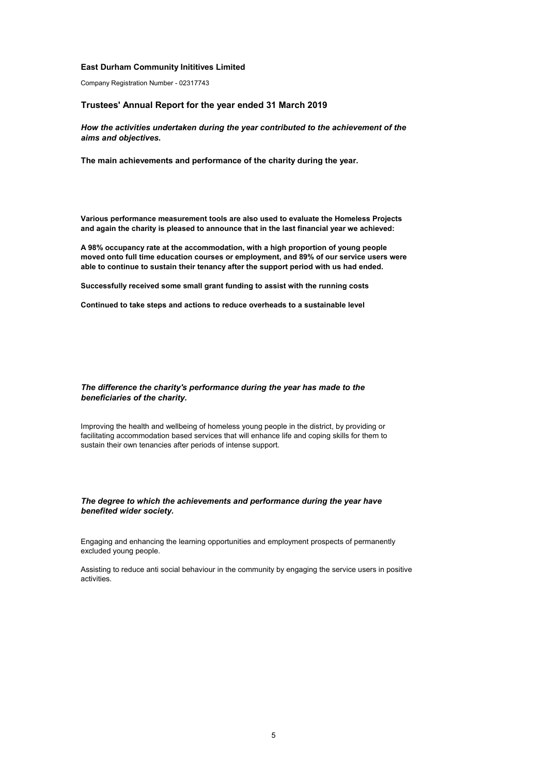Company Registration Number - 02317743

#### **Trustees' Annual Report for the year ended 31 March 2019**

*How the activities undertaken during the year contributed to the achievement of the aims and objectives.*

**The main achievements and performance of the charity during the year.**

**Various performance measurement tools are also used to evaluate the Homeless Projects and again the charity is pleased to announce that in the last financial year we achieved:**

**A 98% occupancy rate at the accommodation, with a high proportion of young people moved onto full time education courses or employment, and 89% of our service users were able to continue to sustain their tenancy after the support period with us had ended.**

**Successfully received some small grant funding to assist with the running costs**

**Continued to take steps and actions to reduce overheads to a sustainable level**

#### *The difference the charity's performance during the year has made to the beneficiaries of the charity.*

Improving the health and wellbeing of homeless young people in the district, by providing or facilitating accommodation based services that will enhance life and coping skills for them to sustain their own tenancies after periods of intense support.

#### *The degree to which the achievements and performance during the year have benefited wider society.*

Engaging and enhancing the learning opportunities and employment prospects of permanently excluded young people.

Assisting to reduce anti social behaviour in the community by engaging the service users in positive activities.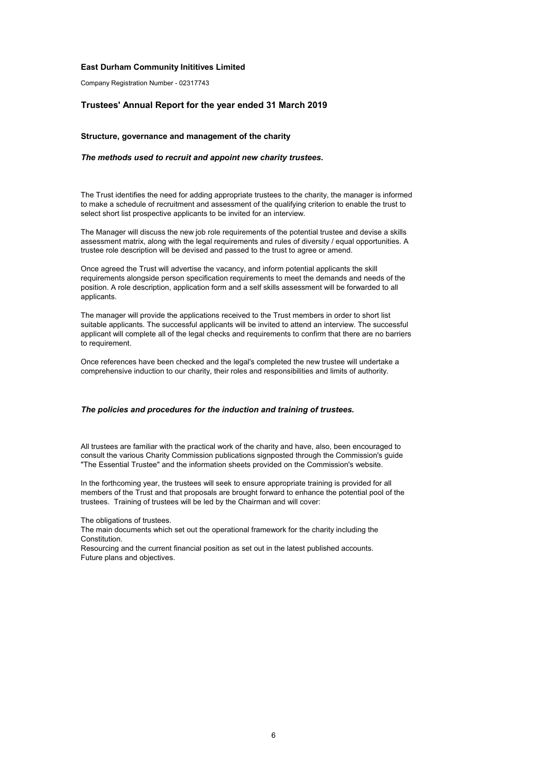Company Registration Number - 02317743

#### **Trustees' Annual Report for the year ended 31 March 2019**

#### **Structure, governance and management of the charity**

#### *The methods used to recruit and appoint new charity trustees.*

The Trust identifies the need for adding appropriate trustees to the charity, the manager is informed to make a schedule of recruitment and assessment of the qualifying criterion to enable the trust to select short list prospective applicants to be invited for an interview.

The Manager will discuss the new job role requirements of the potential trustee and devise a skills assessment matrix, along with the legal requirements and rules of diversity / equal opportunities. A trustee role description will be devised and passed to the trust to agree or amend.

Once agreed the Trust will advertise the vacancy, and inform potential applicants the skill requirements alongside person specification requirements to meet the demands and needs of the position. A role description, application form and a self skills assessment will be forwarded to all applicants.

The manager will provide the applications received to the Trust members in order to short list suitable applicants. The successful applicants will be invited to attend an interview. The successful applicant will complete all of the legal checks and requirements to confirm that there are no barriers to requirement.

Once references have been checked and the legal's completed the new trustee will undertake a comprehensive induction to our charity, their roles and responsibilities and limits of authority.

#### *The policies and procedures for the induction and training of trustees.*

All trustees are familiar with the practical work of the charity and have, also, been encouraged to consult the various Charity Commission publications signposted through the Commission's guide "The Essential Trustee" and the information sheets provided on the Commission's website.

In the forthcoming year, the trustees will seek to ensure appropriate training is provided for all members of the Trust and that proposals are brought forward to enhance the potential pool of the trustees. Training of trustees will be led by the Chairman and will cover:

The obligations of trustees.

The main documents which set out the operational framework for the charity including the Constitution.

Resourcing and the current financial position as set out in the latest published accounts. Future plans and objectives.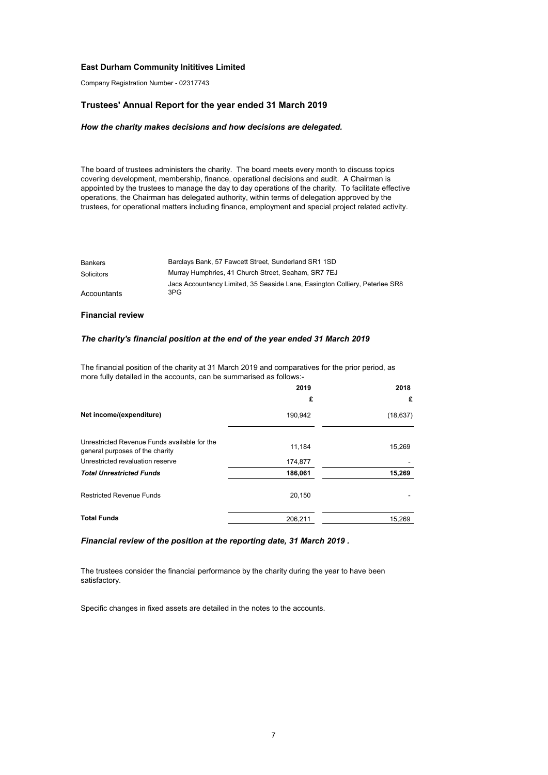Company Registration Number - 02317743

#### **Trustees' Annual Report for the year ended 31 March 2019**

#### *How the charity makes decisions and how decisions are delegated.*

The board of trustees administers the charity. The board meets every month to discuss topics covering development, membership, finance, operational decisions and audit. A Chairman is appointed by the trustees to manage the day to day operations of the charity. To facilitate effective operations, the Chairman has delegated authority, within terms of delegation approved by the trustees, for operational matters including finance, employment and special project related activity.

| <b>Bankers</b> | Barclays Bank, 57 Fawcett Street, Sunderland SR1 1SD                        |
|----------------|-----------------------------------------------------------------------------|
| Solicitors     | Murray Humphries, 41 Church Street, Seaham, SR7 7EJ                         |
|                | Jacs Accountancy Limited, 35 Seaside Lane, Easington Colliery, Peterlee SR8 |
| Accountants    | 3PG                                                                         |

#### **Financial review**

#### *The charity's financial position at the end of the year ended 31 March 2019*

The financial position of the charity at 31 March 2019 and comparatives for the prior period, as more fully detailed in the accounts, can be summarised as follows:-

|                                                                                 | 2019    | 2018      |
|---------------------------------------------------------------------------------|---------|-----------|
|                                                                                 | £       | £         |
| Net income/(expenditure)                                                        | 190,942 | (18, 637) |
| Unrestricted Revenue Funds available for the<br>general purposes of the charity | 11,184  | 15,269    |
| Unrestricted revaluation reserve                                                | 174,877 |           |
| <b>Total Unrestricted Funds</b>                                                 | 186,061 | 15,269    |
| <b>Restricted Revenue Funds</b>                                                 | 20,150  |           |
| <b>Total Funds</b>                                                              | 206,211 | 15,269    |

*Financial review of the position at the reporting date, 31 March 2019 .*

The trustees consider the financial performance by the charity during the year to have been satisfactory.

Specific changes in fixed assets are detailed in the notes to the accounts.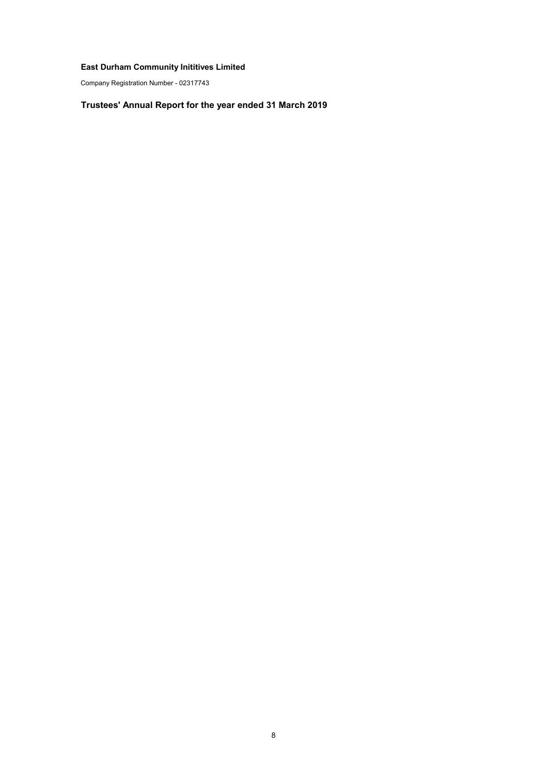Company Registration Number - 02317743

# **Trustees' Annual Report for the year ended 31 March 2019**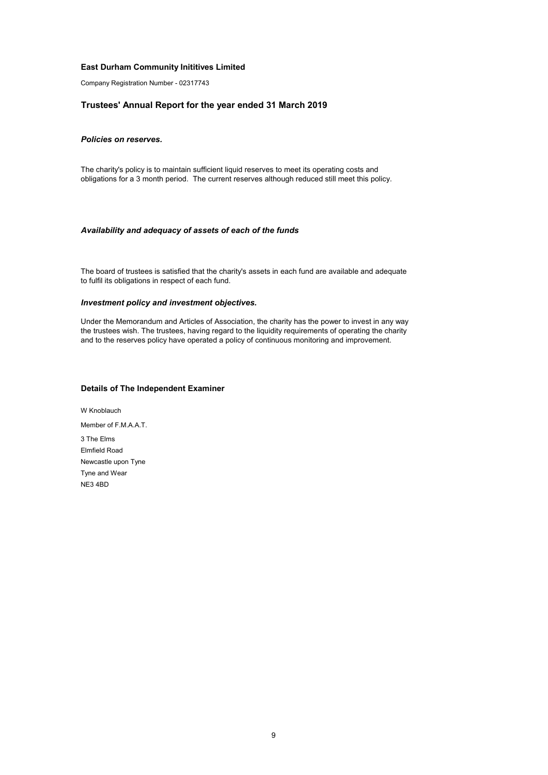Company Registration Number - 02317743

### **Trustees' Annual Report for the year ended 31 March 2019**

### *Policies on reserves.*

The charity's policy is to maintain sufficient liquid reserves to meet its operating costs and obligations for a 3 month period. The current reserves although reduced still meet this policy.

#### *Availability and adequacy of assets of each of the funds*

The board of trustees is satisfied that the charity's assets in each fund are available and adequate to fulfil its obligations in respect of each fund.

#### *Investment policy and investment objectives.*

Under the Memorandum and Articles of Association, the charity has the power to invest in any way the trustees wish. The trustees, having regard to the liquidity requirements of operating the charity and to the reserves policy have operated a policy of continuous monitoring and improvement.

### **Details of The Independent Examiner**

Member of F.M.A.A.T. 3 The Elms Newcastle upon Tyne NE3 4BD W Knoblauch Tyne and Wear Elmfield Road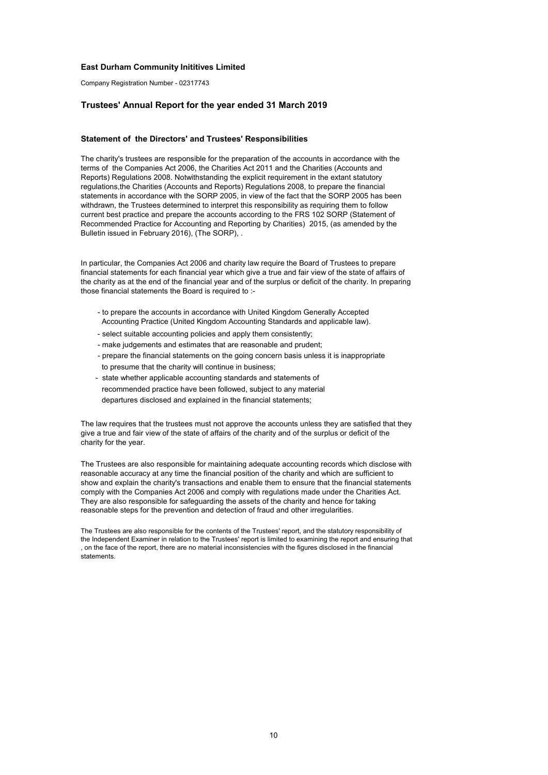Company Registration Number - 02317743

#### **Trustees' Annual Report for the year ended 31 March 2019**

#### **Statement of the Directors' and Trustees' Responsibilities**

The charity's trustees are responsible for the preparation of the accounts in accordance with the terms of the Companies Act 2006, the Charities Act 2011 and the Charities (Accounts and Reports) Regulations 2008. Notwithstanding the explicit requirement in the extant statutory regulations,the Charities (Accounts and Reports) Regulations 2008, to prepare the financial statements in accordance with the SORP 2005, in view of the fact that the SORP 2005 has been withdrawn, the Trustees determined to interpret this responsibility as requiring them to follow current best practice and prepare the accounts according to the FRS 102 SORP (Statement of Recommended Practice for Accounting and Reporting by Charities) 2015, (as amended by the Bulletin issued in February 2016), (The SORP), .

In particular, the Companies Act 2006 and charity law require the Board of Trustees to prepare financial statements for each financial year which give a true and fair view of the state of affairs of the charity as at the end of the financial year and of the surplus or deficit of the charity. In preparing those financial statements the Board is required to :-

- to prepare the accounts in accordance with United Kingdom Generally Accepted Accounting Practice (United Kingdom Accounting Standards and applicable law).
- select suitable accounting policies and apply them consistently;
- make judgements and estimates that are reasonable and prudent;
- prepare the financial statements on the going concern basis unless it is inappropriate to presume that the charity will continue in business;
- state whether applicable accounting standards and statements of recommended practice have been followed, subject to any material departures disclosed and explained in the financial statements;

The law requires that the trustees must not approve the accounts unless they are satisfied that they give a true and fair view of the state of affairs of the charity and of the surplus or deficit of the charity for the year.

The Trustees are also responsible for maintaining adequate accounting records which disclose with reasonable accuracy at any time the financial position of the charity and which are sufficient to show and explain the charity's transactions and enable them to ensure that the financial statements comply with the Companies Act 2006 and comply with regulations made under the Charities Act. They are also responsible for safeguarding the assets of the charity and hence for taking reasonable steps for the prevention and detection of fraud and other irregularities.

The Trustees are also responsible for the contents of the Trustees' report, and the statutory responsibility of the Independent Examiner in relation to the Trustees' report is limited to examining the report and ensuring that , on the face of the report, there are no material inconsistencies with the figures disclosed in the financial statements.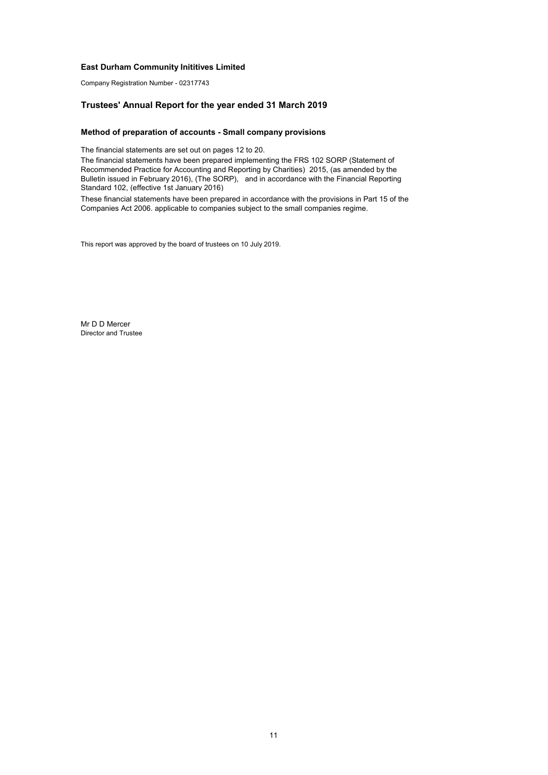Company Registration Number - 02317743

### **Trustees' Annual Report for the year ended 31 March 2019**

#### **Method of preparation of accounts - Small company provisions**

The financial statements are set out on pages 12 to 20.

The financial statements have been prepared implementing the FRS 102 SORP (Statement of Recommended Practice for Accounting and Reporting by Charities) 2015, (as amended by the Bulletin issued in February 2016), (The SORP), and in accordance with the Financial Reporting Standard 102, (effective 1st January 2016)

These financial statements have been prepared in accordance with the provisions in Part 15 of the Companies Act 2006. applicable to companies subject to the small companies regime.

This report was approved by the board of trustees on 10 July 2019.

Mr D D Mercer Director and Trustee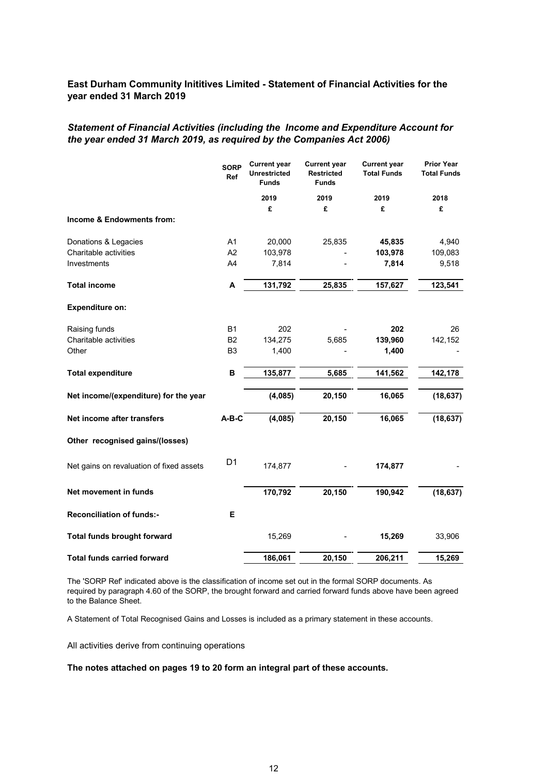# *Statement of Financial Activities (including the Income and Expenditure Account for the year ended 31 March 2019, as required by the Companies Act 2006)*

|                                          | <b>SORP</b><br>Ref | <b>Current year</b><br><b>Unrestricted</b><br><b>Funds</b> | <b>Current year</b><br><b>Restricted</b><br><b>Funds</b> | <b>Current year</b><br><b>Total Funds</b> | <b>Prior Year</b><br><b>Total Funds</b> |
|------------------------------------------|--------------------|------------------------------------------------------------|----------------------------------------------------------|-------------------------------------------|-----------------------------------------|
|                                          |                    | 2019                                                       | 2019                                                     | 2019                                      | 2018                                    |
|                                          |                    | £                                                          | £                                                        | £                                         | £                                       |
| Income & Endowments from:                |                    |                                                            |                                                          |                                           |                                         |
| Donations & Legacies                     | A1                 | 20,000                                                     | 25,835                                                   | 45,835                                    | 4,940                                   |
| Charitable activities                    | A2                 | 103,978                                                    |                                                          | 103,978                                   | 109,083                                 |
| Investments                              | A4                 | 7,814                                                      |                                                          | 7,814                                     | 9,518                                   |
| <b>Total income</b>                      | A                  | 131,792                                                    | 25,835                                                   | 157,627                                   | 123,541                                 |
| <b>Expenditure on:</b>                   |                    |                                                            |                                                          |                                           |                                         |
| Raising funds                            | <b>B1</b>          | 202                                                        |                                                          | 202                                       | 26                                      |
| Charitable activities                    | B <sub>2</sub>     | 134,275                                                    | 5,685                                                    | 139,960                                   | 142,152                                 |
| Other                                    | B <sub>3</sub>     | 1,400                                                      |                                                          | 1,400                                     |                                         |
| <b>Total expenditure</b>                 | B                  | 135,877                                                    | 5,685                                                    | 141,562                                   | 142,178                                 |
| Net income/(expenditure) for the year    |                    | (4,085)                                                    | 20,150                                                   | 16,065                                    | (18, 637)                               |
| Net income after transfers               | $A-B-C$            | (4,085)                                                    | 20,150                                                   | 16,065                                    | (18, 637)                               |
| Other recognised gains/(losses)          |                    |                                                            |                                                          |                                           |                                         |
| Net gains on revaluation of fixed assets | D <sub>1</sub>     | 174,877                                                    |                                                          | 174,877                                   |                                         |
| Net movement in funds                    |                    | 170,792                                                    | 20,150                                                   | 190,942                                   | (18, 637)                               |
| <b>Reconciliation of funds:-</b>         | E.                 |                                                            |                                                          |                                           |                                         |
| <b>Total funds brought forward</b>       |                    | 15,269                                                     |                                                          | 15,269                                    | 33,906                                  |
| <b>Total funds carried forward</b>       |                    | 186,061                                                    | 20,150                                                   | 206,211                                   | 15,269                                  |

The 'SORP Ref' indicated above is the classification of income set out in the formal SORP documents. As required by paragraph 4.60 of the SORP, the brought forward and carried forward funds above have been agreed to the Balance Sheet.

A Statement of Total Recognised Gains and Losses is included as a primary statement in these accounts.

All activities derive from continuing operations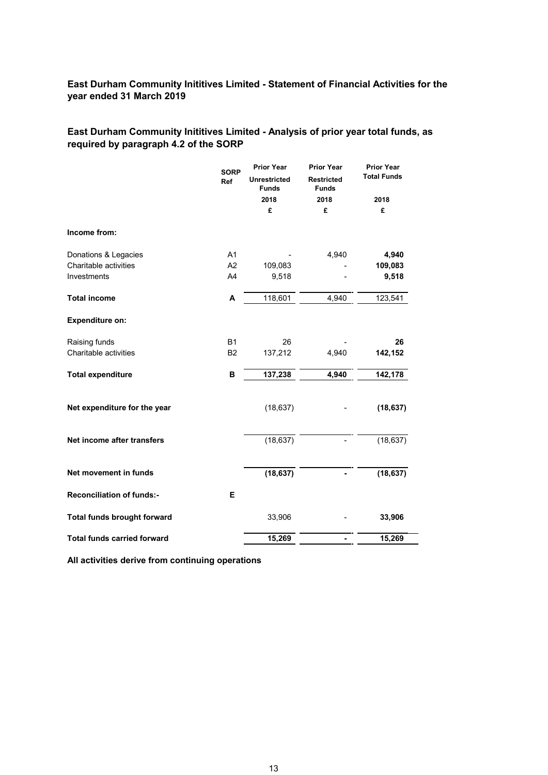# **East Durham Community Inititives Limited - Analysis of prior year total funds, as required by paragraph 4.2 of the SORP**

|                                    | <b>SORP</b><br>Ref | <b>Prior Year</b><br><b>Unrestricted</b><br><b>Funds</b><br>2018<br>£ | <b>Prior Year</b><br><b>Restricted</b><br><b>Funds</b><br>2018<br>£ | <b>Prior Year</b><br><b>Total Funds</b><br>2018<br>£ |
|------------------------------------|--------------------|-----------------------------------------------------------------------|---------------------------------------------------------------------|------------------------------------------------------|
| Income from:                       |                    |                                                                       |                                                                     |                                                      |
| Donations & Legacies               | A <sub>1</sub>     |                                                                       | 4,940                                                               | 4,940                                                |
| Charitable activities              | A2                 | 109,083                                                               |                                                                     | 109,083                                              |
| Investments                        | A4                 | 9,518                                                                 |                                                                     | 9,518                                                |
| <b>Total income</b>                | A                  | 118,601                                                               | 4,940                                                               | 123,541                                              |
| <b>Expenditure on:</b>             |                    |                                                                       |                                                                     |                                                      |
| Raising funds                      | <b>B1</b>          | 26                                                                    |                                                                     | 26                                                   |
| Charitable activities              | B <sub>2</sub>     | 137,212                                                               | 4,940                                                               | 142,152                                              |
| <b>Total expenditure</b>           | в                  | 137,238                                                               | 4,940                                                               | 142,178                                              |
| Net expenditure for the year       |                    | (18, 637)                                                             |                                                                     | (18, 637)                                            |
| Net income after transfers         |                    | (18, 637)                                                             |                                                                     | (18, 637)                                            |
| Net movement in funds              |                    | (18, 637)                                                             |                                                                     | (18, 637)                                            |
| <b>Reconciliation of funds:-</b>   | Е                  |                                                                       |                                                                     |                                                      |
| <b>Total funds brought forward</b> |                    | 33,906                                                                |                                                                     | 33,906                                               |
| <b>Total funds carried forward</b> |                    | 15,269                                                                |                                                                     | 15,269                                               |

**All activities derive from continuing operations**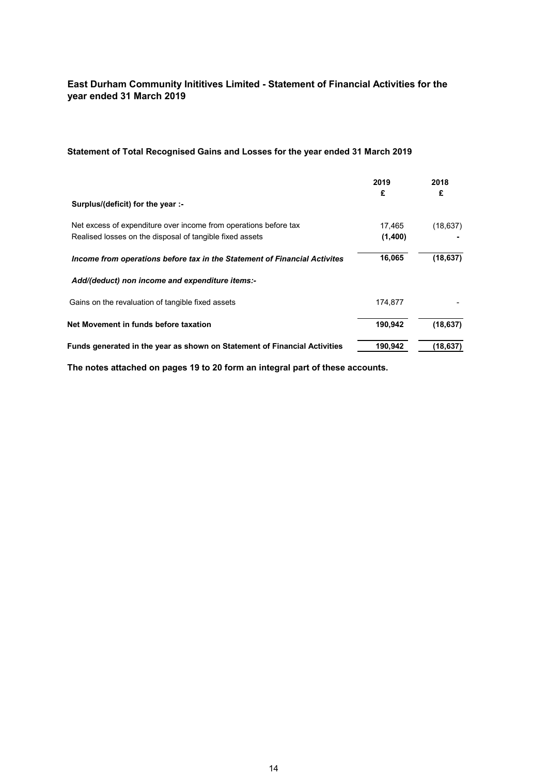# **Statement of Total Recognised Gains and Losses for the year ended 31 March 2019**

|                                                                           | 2019<br>£ | 2018<br>£ |
|---------------------------------------------------------------------------|-----------|-----------|
| Surplus/(deficit) for the year :-                                         |           |           |
| Net excess of expenditure over income from operations before tax          | 17,465    | (18, 637) |
| Realised losses on the disposal of tangible fixed assets                  | (1,400)   |           |
| Income from operations before tax in the Statement of Financial Activites | 16,065    | (18, 637) |
| Add/(deduct) non income and expenditure items:-                           |           |           |
| Gains on the revaluation of tangible fixed assets                         | 174.877   |           |
| Net Movement in funds before taxation                                     | 190,942   | (18, 637) |
| Funds generated in the year as shown on Statement of Financial Activities | 190,942   | (18, 637) |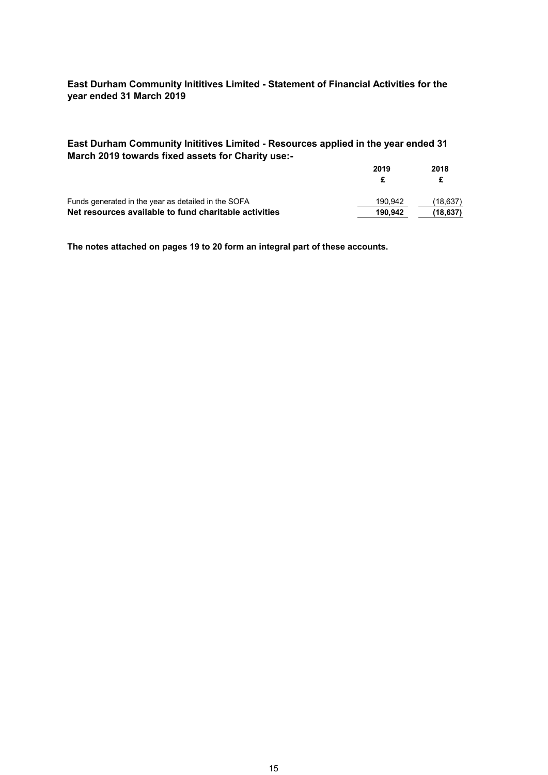**East Durham Community Inititives Limited - Resources applied in the year ended 31 March 2019 towards fixed assets for Charity use:-**

|                                                       | 2019    | 2018     |  |
|-------------------------------------------------------|---------|----------|--|
|                                                       |         |          |  |
| Funds generated in the year as detailed in the SOFA   | 190.942 | (18,637) |  |
| Net resources available to fund charitable activities | 190.942 | (18.637) |  |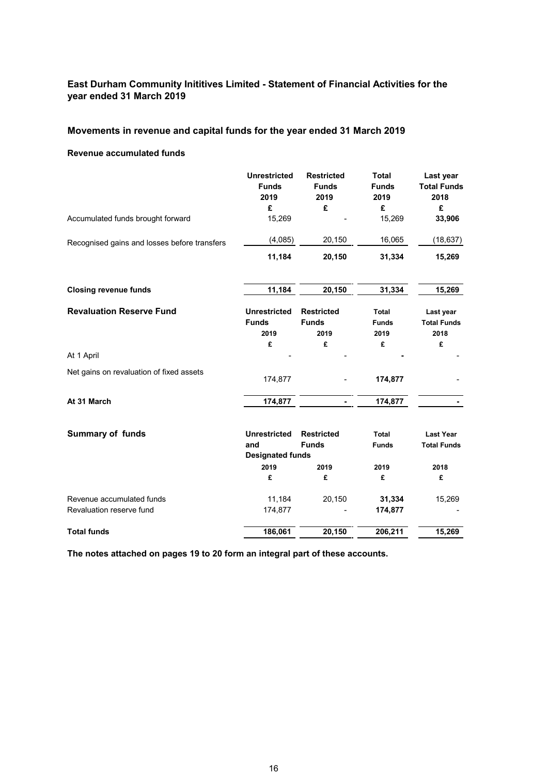# **Movements in revenue and capital funds for the year ended 31 March 2019**

### **Revenue accumulated funds**

|                                              | <b>Unrestricted</b><br><b>Funds</b><br>2019 | <b>Restricted</b><br><b>Funds</b><br>2019 | <b>Total</b><br><b>Funds</b><br>2019 | Last year<br><b>Total Funds</b><br>2018 |
|----------------------------------------------|---------------------------------------------|-------------------------------------------|--------------------------------------|-----------------------------------------|
| Accumulated funds brought forward            | £<br>15,269                                 | £                                         | £<br>15,269                          | £<br>33,906                             |
|                                              |                                             |                                           |                                      |                                         |
| Recognised gains and losses before transfers | (4,085)                                     | 20,150                                    | 16,065                               | (18, 637)                               |
|                                              | 11,184                                      | 20,150                                    | 31,334                               | 15,269                                  |
| <b>Closing revenue funds</b>                 | 11,184                                      | 20,150                                    | 31,334                               | 15,269                                  |
| <b>Revaluation Reserve Fund</b>              | <b>Unrestricted</b><br><b>Funds</b>         | <b>Restricted</b><br><b>Funds</b>         | <b>Total</b><br><b>Funds</b>         | Last year<br><b>Total Funds</b>         |
|                                              | 2019                                        | 2019                                      | 2019                                 | 2018                                    |
|                                              | £                                           | £                                         | £                                    | £                                       |
| At 1 April                                   |                                             |                                           |                                      |                                         |
| Net gains on revaluation of fixed assets     | 174,877                                     |                                           | 174,877                              |                                         |
| At 31 March                                  | 174,877                                     |                                           | 174,877                              |                                         |
| <b>Summary of funds</b>                      | <b>Unrestricted</b>                         | <b>Restricted</b>                         | Total                                | <b>Last Year</b>                        |
|                                              | and                                         | <b>Funds</b>                              | <b>Funds</b>                         | <b>Total Funds</b>                      |
|                                              | <b>Designated funds</b><br>2019             | 2019                                      | 2019                                 | 2018                                    |
|                                              | £                                           | £                                         | £                                    | £                                       |
| Revenue accumulated funds                    | 11,184                                      | 20,150                                    | 31,334                               | 15,269                                  |
| Revaluation reserve fund                     | 174,877                                     |                                           | 174,877                              |                                         |
| <b>Total funds</b>                           | 186,061                                     | 20,150                                    | 206,211                              | 15,269                                  |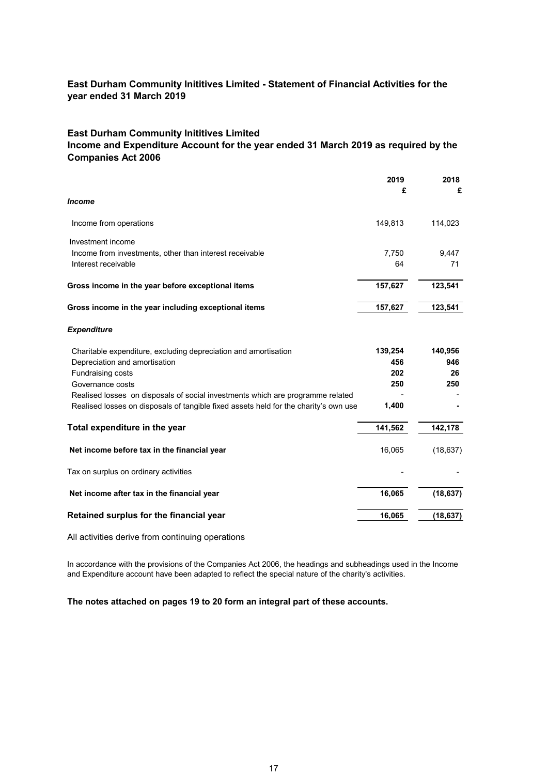## **East Durham Community Inititives Limited**

# **Income and Expenditure Account for the year ended 31 March 2019 as required by the Companies Act 2006**

|                                                                                                                                                                        | 2019<br>£ | 2018<br>£ |
|------------------------------------------------------------------------------------------------------------------------------------------------------------------------|-----------|-----------|
| <b>Income</b>                                                                                                                                                          |           |           |
| Income from operations                                                                                                                                                 | 149,813   | 114,023   |
| Investment income<br>Income from investments, other than interest receivable                                                                                           | 7,750     | 9,447     |
| Interest receivable                                                                                                                                                    | 64        | 71        |
| Gross income in the year before exceptional items                                                                                                                      | 157,627   | 123,541   |
| Gross income in the year including exceptional items                                                                                                                   | 157,627   | 123,541   |
| <b>Expenditure</b>                                                                                                                                                     |           |           |
| Charitable expenditure, excluding depreciation and amortisation                                                                                                        | 139,254   | 140,956   |
| Depreciation and amortisation                                                                                                                                          | 456       | 946       |
| <b>Fundraising costs</b>                                                                                                                                               | 202       | 26        |
| Governance costs                                                                                                                                                       | 250       | 250       |
| Realised losses on disposals of social investments which are programme related<br>Realised losses on disposals of tangible fixed assets held for the charity's own use | 1,400     |           |
| Total expenditure in the year                                                                                                                                          | 141,562   | 142,178   |
| Net income before tax in the financial year                                                                                                                            | 16,065    | (18, 637) |
| Tax on surplus on ordinary activities                                                                                                                                  |           |           |
| Net income after tax in the financial year                                                                                                                             | 16,065    | (18, 637) |
| Retained surplus for the financial year                                                                                                                                | 16,065    | (18, 637) |

All activities derive from continuing operations

In accordance with the provisions of the Companies Act 2006, the headings and subheadings used in the Income and Expenditure account have been adapted to reflect the special nature of the charity's activities.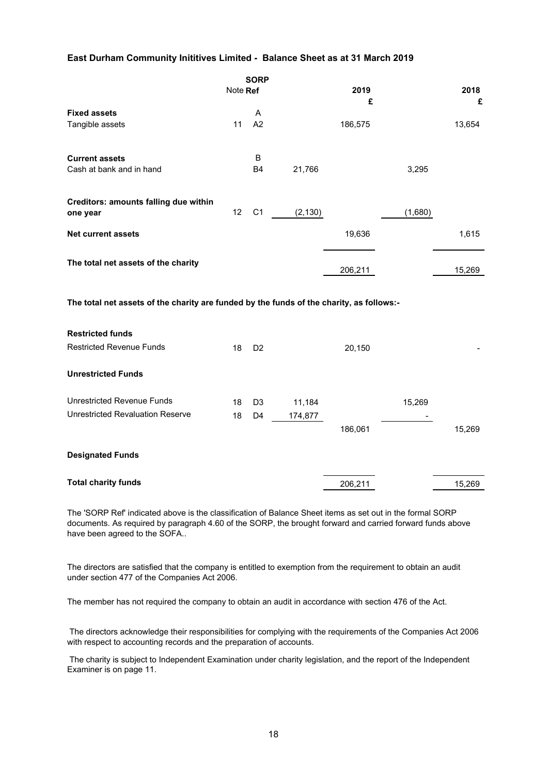## **East Durham Community Inititives Limited - Balance Sheet as at 31 March 2019**

 $\overline{\phantom{a}}$ 

|                                                                                          | Note Ref | <b>SORP</b>    |          | 2019<br>£ |         | 2018<br>£ |
|------------------------------------------------------------------------------------------|----------|----------------|----------|-----------|---------|-----------|
| <b>Fixed assets</b>                                                                      |          | Α              |          |           |         |           |
| Tangible assets                                                                          | 11       | A2             |          | 186,575   |         | 13,654    |
| <b>Current assets</b>                                                                    |          | B              |          |           |         |           |
| Cash at bank and in hand                                                                 |          | <b>B4</b>      | 21,766   |           | 3,295   |           |
| Creditors: amounts falling due within<br>one year                                        | 12       | C <sub>1</sub> | (2, 130) |           | (1,680) |           |
|                                                                                          |          |                |          |           |         |           |
| <b>Net current assets</b>                                                                |          |                |          | 19,636    |         | 1,615     |
| The total net assets of the charity                                                      |          |                |          | 206,211   |         | 15,269    |
| The total net assets of the charity are funded by the funds of the charity, as follows:- |          |                |          |           |         |           |
| <b>Restricted funds</b>                                                                  |          |                |          |           |         |           |
| <b>Restricted Revenue Funds</b>                                                          | 18       | D <sub>2</sub> |          | 20,150    |         |           |
| <b>Unrestricted Funds</b>                                                                |          |                |          |           |         |           |
| <b>Unrestricted Revenue Funds</b>                                                        | 18       | D <sub>3</sub> | 11,184   |           | 15,269  |           |
| <b>Unrestricted Revaluation Reserve</b>                                                  | 18       | D <sub>4</sub> | 174,877  |           |         |           |
|                                                                                          |          |                |          | 186,061   |         | 15,269    |
| <b>Designated Funds</b>                                                                  |          |                |          |           |         |           |
| <b>Total charity funds</b>                                                               |          |                |          | 206,211   |         | 15,269    |

The 'SORP Ref' indicated above is the classification of Balance Sheet items as set out in the formal SORP documents. As required by paragraph 4.60 of the SORP, the brought forward and carried forward funds above have been agreed to the SOFA..

The directors are satisfied that the company is entitled to exemption from the requirement to obtain an audit under section 477 of the Companies Act 2006.

The member has not required the company to obtain an audit in accordance with section 476 of the Act.

 The directors acknowledge their responsibilities for complying with the requirements of the Companies Act 2006 with respect to accounting records and the preparation of accounts.

 The charity is subject to Independent Examination under charity legislation, and the report of the Independent Examiner is on page 11.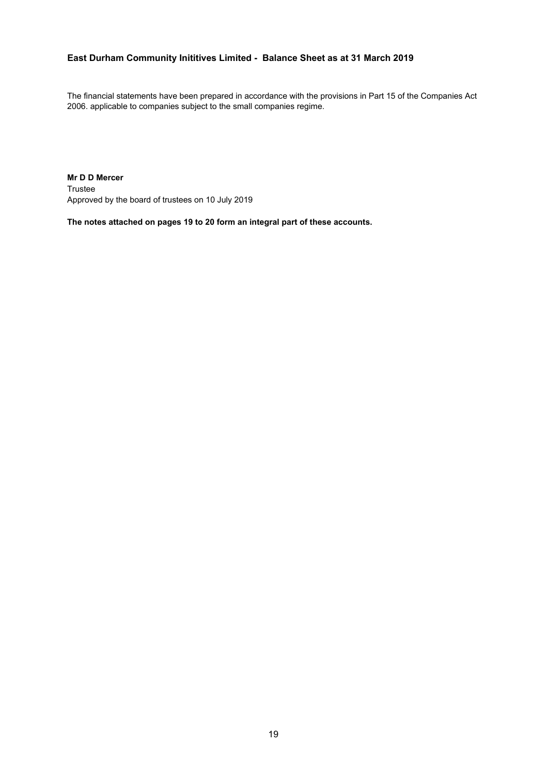# **East Durham Community Inititives Limited - Balance Sheet as at 31 March 2019**

The financial statements have been prepared in accordance with the provisions in Part 15 of the Companies Act 2006. applicable to companies subject to the small companies regime.

**Mr D D Mercer** Trustee Approved by the board of trustees on 10 July 2019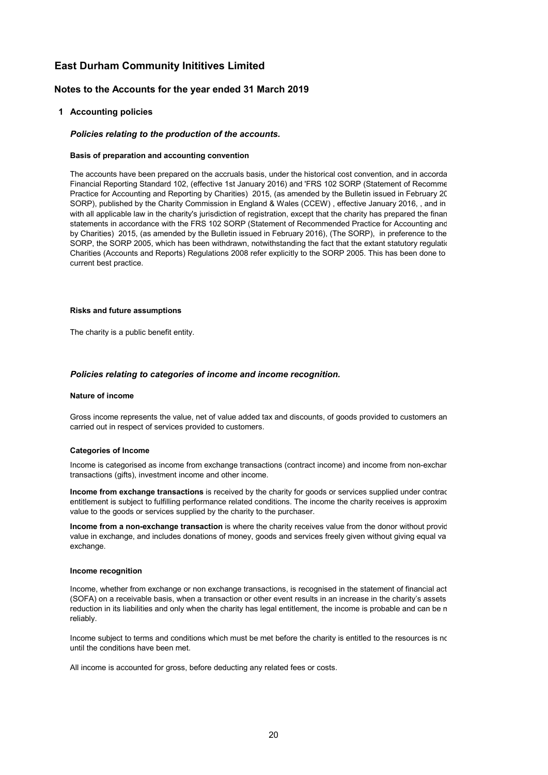### **Notes to the Accounts for the year ended 31 March 2019**

#### **1 Accounting policies**

#### *Policies relating to the production of the accounts.*

#### **Basis of preparation and accounting convention**

The accounts have been prepared on the accruals basis, under the historical cost convention, and in accorda Financial Reporting Standard 102, (effective 1st January 2016) and 'FRS 102 SORP (Statement of Recomme Practice for Accounting and Reporting by Charities) 2015, (as amended by the Bulletin issued in February 20 SORP), published by the Charity Commission in England & Wales (CCEW) , effective January 2016, , and in with all applicable law in the charity's jurisdiction of registration, except that the charity has prepared the finan statements in accordance with the FRS 102 SORP (Statement of Recommended Practice for Accounting and by Charities) 2015, (as amended by the Bulletin issued in February 2016), (The SORP), in preference to the SORP, the SORP 2005, which has been withdrawn, notwithstanding the fact that the extant statutory regulation Charities (Accounts and Reports) Regulations 2008 refer explicitly to the SORP 2005. This has been done to current best practice.

#### **Risks and future assumptions**

The charity is a public benefit entity.

#### *Policies relating to categories of income and income recognition.*

#### **Nature of income**

Gross income represents the value, net of value added tax and discounts, of goods provided to customers an carried out in respect of services provided to customers.

#### **Categories of Income**

Income is categorised as income from exchange transactions (contract income) and income from non-exchan transactions (gifts), investment income and other income.

**Income from exchange transactions** is received by the charity for goods or services supplied under contrac entitlement is subject to fulfilling performance related conditions. The income the charity receives is approxim value to the goods or services supplied by the charity to the purchaser.

**Income from a non-exchange transaction** is where the charity receives value from the donor without provic value in exchange, and includes donations of money, goods and services freely given without giving equal va exchange.

#### **Income recognition**

Income, whether from exchange or non exchange transactions, is recognised in the statement of financial act (SOFA) on a receivable basis, when a transaction or other event results in an increase in the charity's assets reduction in its liabilities and only when the charity has legal entitlement, the income is probable and can be m reliably.

Income subject to terms and conditions which must be met before the charity is entitled to the resources is no until the conditions have been met.

All income is accounted for gross, before deducting any related fees or costs.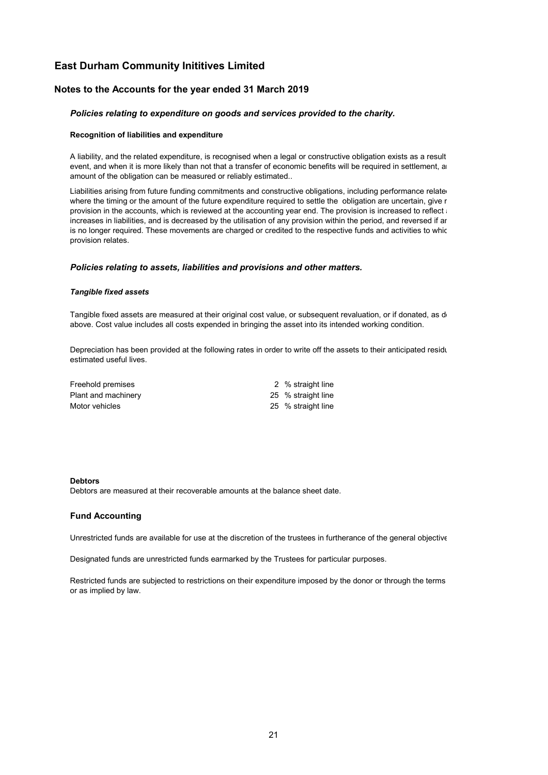### **Notes to the Accounts for the year ended 31 March 2019**

### *Policies relating to expenditure on goods and services provided to the charity.*

#### **Recognition of liabilities and expenditure**

A liability, and the related expenditure, is recognised when a legal or constructive obligation exists as a result event, and when it is more likely than not that a transfer of economic benefits will be required in settlement, an amount of the obligation can be measured or reliably estimated..

Liabilities arising from future funding commitments and constructive obligations, including performance relate where the timing or the amount of the future expenditure required to settle the obligation are uncertain, give r provision in the accounts, which is reviewed at the accounting year end. The provision is increased to reflect and increases in liabilities, and is decreased by the utilisation of any provision within the period, and reversed if an is no longer required. These movements are charged or credited to the respective funds and activities to whic provision relates.

#### *Policies relating to assets, liabilities and provisions and other matters.*

#### *Tangible fixed assets*

Tangible fixed assets are measured at their original cost value, or subsequent revaluation, or if donated, as de above. Cost value includes all costs expended in bringing the asset into its intended working condition.

Depreciation has been provided at the following rates in order to write off the assets to their anticipated residu estimated useful lives.

| Freehold premises   | 2 % straight line  |
|---------------------|--------------------|
| Plant and machinery | 25 % straight line |
| Motor vehicles      | 25 % straight line |

#### **Debtors**

Debtors are measured at their recoverable amounts at the balance sheet date.

#### **Fund Accounting**

Unrestricted funds are available for use at the discretion of the trustees in furtherance of the general objective

Designated funds are unrestricted funds earmarked by the Trustees for particular purposes.

Restricted funds are subjected to restrictions on their expenditure imposed by the donor or through the terms or as implied by law.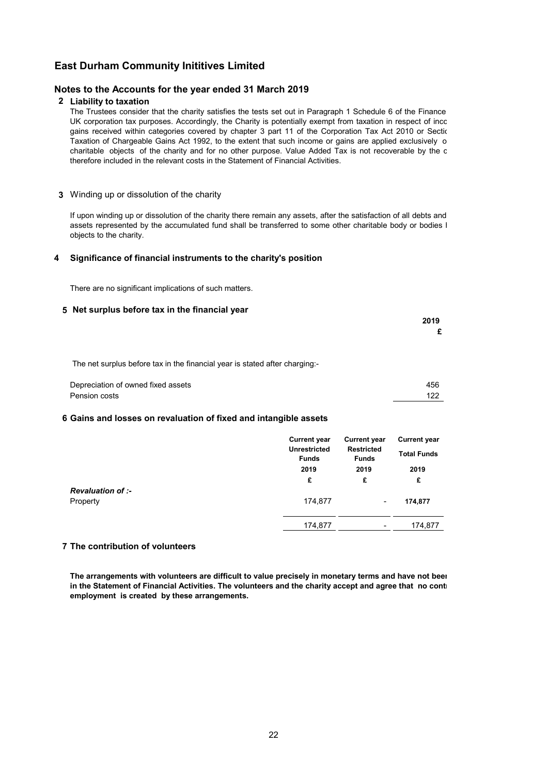### **Notes to the Accounts for the year ended 31 March 2019**

### **2 Liability to taxation**

The Trustees consider that the charity satisfies the tests set out in Paragraph 1 Schedule 6 of the Finance UK corporation tax purposes. Accordingly, the Charity is potentially exempt from taxation in respect of inco gains received within categories covered by chapter 3 part 11 of the Corporation Tax Act 2010 or Sectio Taxation of Chargeable Gains Act 1992, to the extent that such income or gains are applied exclusively o charitable objects of the charity and for no other purpose. Value Added Tax is not recoverable by the c therefore included in the relevant costs in the Statement of Financial Activities.

### **3** Winding up or dissolution of the charity

If upon winding up or dissolution of the charity there remain any assets, after the satisfaction of all debts and assets represented by the accumulated fund shall be transferred to some other charitable body or bodies I objects to the charity.

### **4 Significance of financial instruments to the charity's position**

There are no significant implications of such matters.

### **5 Net surplus before tax in the financial year**

| 2019 |  |
|------|--|
| £    |  |
|      |  |

The net surplus before tax in the financial year is stated after charging:-

| Depreciation of owned fixed assets | 456 |
|------------------------------------|-----|
| Pension costs                      |     |

### **6 Gains and losses on revaluation of fixed and intangible assets**

|                                      | <b>Current year</b><br><b>Unrestricted</b><br><b>Funds</b> | <b>Current year</b><br><b>Restricted</b><br><b>Funds</b> |           |  | <b>Current year</b><br><b>Total Funds</b> |
|--------------------------------------|------------------------------------------------------------|----------------------------------------------------------|-----------|--|-------------------------------------------|
|                                      | 2019<br>£                                                  | 2019<br>£                                                | 2019<br>£ |  |                                           |
| <b>Revaluation of :-</b><br>Property | 174,877                                                    | ٠                                                        | 174,877   |  |                                           |
|                                      | 174,877                                                    | ٠                                                        | 174,877   |  |                                           |

### **7 The contribution of volunteers**

**The arrangements with volunteers are difficult to value precisely in monetary terms and have not been in the Statement of Financial Activities. The volunteers and the charity accept and agree that no contr employment is created by these arrangements.**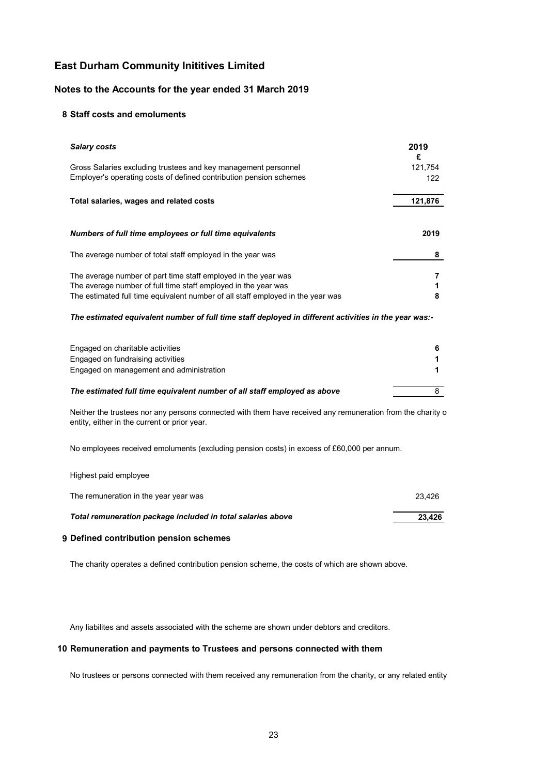### **Notes to the Accounts for the year ended 31 March 2019**

### **8 Staff costs and emoluments**

| <b>Salary costs</b>                                                                                                                                                                                                 | 2019<br>£      |
|---------------------------------------------------------------------------------------------------------------------------------------------------------------------------------------------------------------------|----------------|
| Gross Salaries excluding trustees and key management personnel<br>Employer's operating costs of defined contribution pension schemes                                                                                | 121,754<br>122 |
| Total salaries, wages and related costs                                                                                                                                                                             | 121,876        |
| Numbers of full time employees or full time equivalents                                                                                                                                                             | 2019           |
| The average number of total staff employed in the year was                                                                                                                                                          | 8              |
| The average number of part time staff employed in the year was<br>The average number of full time staff employed in the year was<br>The estimated full time equivalent number of all staff employed in the year was | 8              |

### *The estimated equivalent number of full time staff deployed in different activities in the year was:-*

| Engaged on charitable activities                                         |  |
|--------------------------------------------------------------------------|--|
|                                                                          |  |
| Engaged on fundraising activities                                        |  |
| Engaged on management and administration                                 |  |
| The estimated full time equivalent number of all staff employed as above |  |

Neither the trustees nor any persons connected with them have received any remuneration from the charity o entity, either in the current or prior year.

No employees received emoluments (excluding pension costs) in excess of £60,000 per annum.

### Highest paid employee

| Total remuneration package included in total salaries above | 23.426 |
|-------------------------------------------------------------|--------|
| The remuneration in the year year was                       | 23.426 |

## **9 Defined contribution pension schemes**

The charity operates a defined contribution pension scheme, the costs of which are shown above.

Any liabilites and assets associated with the scheme are shown under debtors and creditors.

### **10 Remuneration and payments to Trustees and persons connected with them**

No trustees or persons connected with them received any remuneration from the charity, or any related entity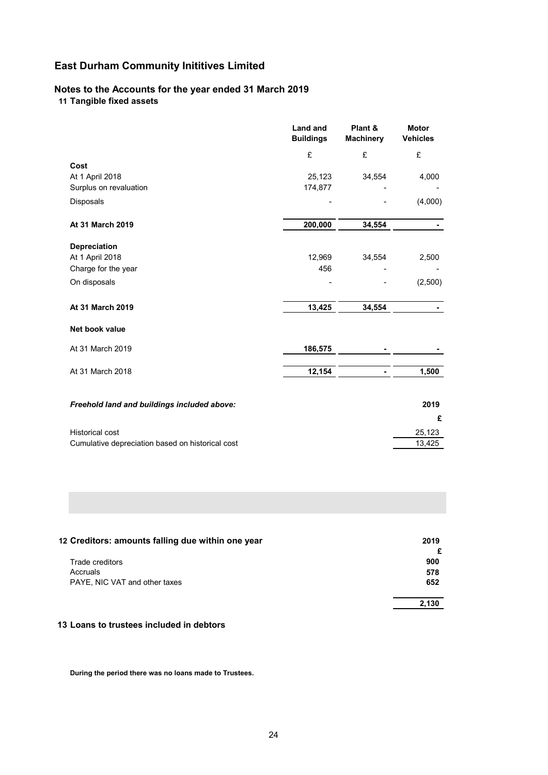# **Notes to the Accounts for the year ended 31 March 2019 11 Tangible fixed assets**

|                                                  | <b>Land and</b><br><b>Buildings</b> | Plant &<br><b>Machinery</b> | <b>Motor</b><br><b>Vehicles</b> |
|--------------------------------------------------|-------------------------------------|-----------------------------|---------------------------------|
|                                                  | £                                   | £                           | £                               |
| Cost                                             |                                     |                             |                                 |
| At 1 April 2018                                  | 25,123                              | 34,554                      | 4,000                           |
| Surplus on revaluation                           | 174,877                             |                             |                                 |
| Disposals                                        |                                     |                             | (4,000)                         |
| At 31 March 2019                                 | 200,000                             | 34,554                      |                                 |
| Depreciation                                     |                                     |                             |                                 |
| At 1 April 2018                                  | 12,969                              | 34,554                      | 2,500                           |
| Charge for the year                              | 456                                 |                             |                                 |
| On disposals                                     |                                     |                             | (2,500)                         |
| At 31 March 2019                                 | 13,425                              | 34,554                      |                                 |
| Net book value                                   |                                     |                             |                                 |
| At 31 March 2019                                 | 186,575                             |                             |                                 |
| At 31 March 2018                                 | 12,154                              |                             | 1,500                           |
| Freehold land and buildings included above:      |                                     |                             | 2019                            |
|                                                  |                                     |                             | £                               |
| <b>Historical cost</b>                           |                                     |                             | 25,123                          |
| Cumulative depreciation based on historical cost |                                     |                             | 13,425                          |

| 12 Creditors: amounts falling due within one year | 2019  |
|---------------------------------------------------|-------|
|                                                   | £     |
| Trade creditors                                   | 900   |
| Accruals                                          | 578   |
| PAYE, NIC VAT and other taxes                     | 652   |
|                                                   | 2,130 |

# **13 Loans to trustees included in debtors**

**During the period there was no loans made to Trustees.**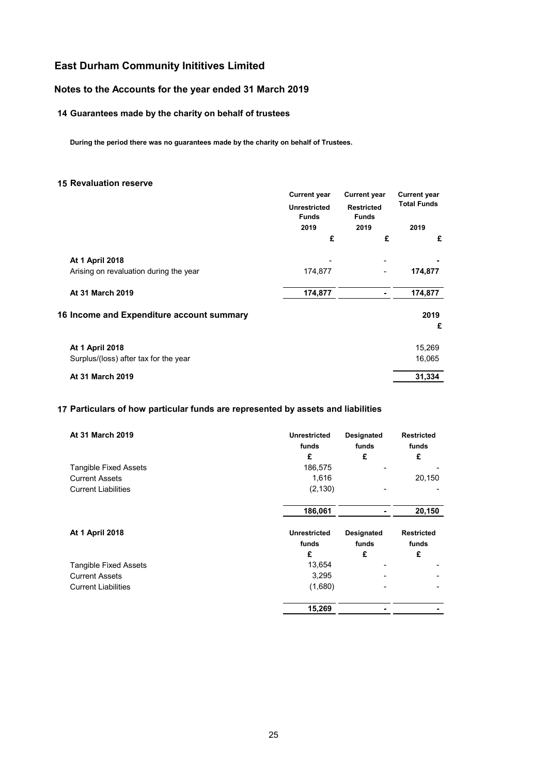# **Notes to the Accounts for the year ended 31 March 2019**

# **14 Guarantees made by the charity on behalf of trustees**

**During the period there was no guarantees made by the charity on behalf of Trustees.**

### **15 Revaluation reserve**

|                                           | <b>Current year</b><br><b>Unrestricted</b><br><b>Funds</b><br>2019<br>£ | <b>Current year</b>               | <b>Current year</b><br><b>Total Funds</b> |  |
|-------------------------------------------|-------------------------------------------------------------------------|-----------------------------------|-------------------------------------------|--|
|                                           |                                                                         | <b>Restricted</b><br><b>Funds</b> |                                           |  |
|                                           |                                                                         | 2019                              | 2019                                      |  |
|                                           |                                                                         | £                                 | £                                         |  |
| <b>At 1 April 2018</b>                    |                                                                         | ٠                                 |                                           |  |
| Arising on revaluation during the year    | 174,877                                                                 |                                   | 174,877                                   |  |
| <b>At 31 March 2019</b>                   | 174,877                                                                 |                                   | 174,877                                   |  |
| 16 Income and Expenditure account summary |                                                                         |                                   | 2019                                      |  |
|                                           |                                                                         |                                   | £                                         |  |
| <b>At 1 April 2018</b>                    |                                                                         |                                   | 15,269                                    |  |
| Surplus/(loss) after tax for the year     |                                                                         |                                   | 16,065                                    |  |
| At 31 March 2019                          |                                                                         |                                   | 31,334                                    |  |

## **17 Particulars of how particular funds are represented by assets and liabilities**

| <b>At 31 March 2019</b>      | <b>Unrestricted</b><br>funds<br>£ | <b>Designated</b><br>funds<br>£ | <b>Restricted</b><br>funds<br>£ |
|------------------------------|-----------------------------------|---------------------------------|---------------------------------|
| <b>Tangible Fixed Assets</b> | 186,575                           |                                 |                                 |
| <b>Current Assets</b>        | 1,616                             |                                 | 20,150                          |
| <b>Current Liabilities</b>   | (2, 130)                          |                                 |                                 |
|                              | 186,061                           |                                 | 20,150                          |
| At 1 April 2018              | <b>Unrestricted</b>               | Designated                      | <b>Restricted</b>               |
|                              | funds                             | funds                           | funds                           |
|                              | £                                 | £                               | £                               |
| <b>Tangible Fixed Assets</b> | 13,654                            |                                 |                                 |
| <b>Current Assets</b>        | 3,295                             |                                 |                                 |
| <b>Current Liabilities</b>   | (1,680)                           |                                 |                                 |
|                              | 15,269                            |                                 |                                 |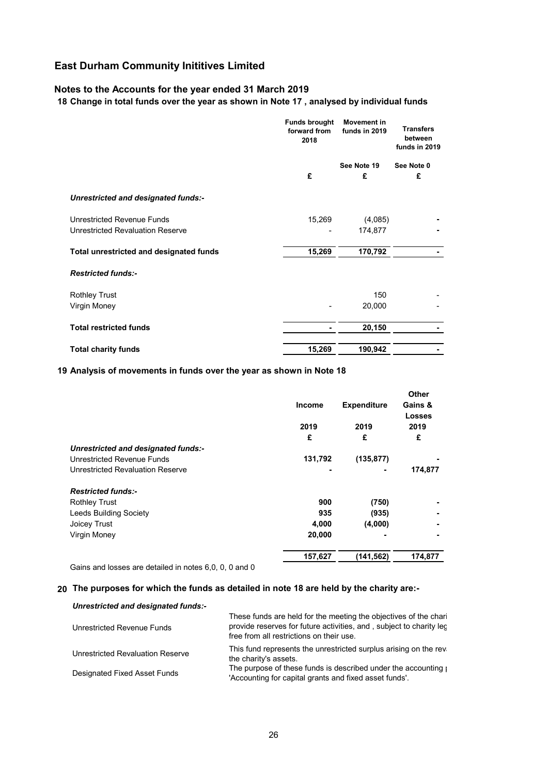## **Notes to the Accounts for the year ended 31 March 2019**

## **18 Change in total funds over the year as shown in Note 17 , analysed by individual funds**

|                                         | <b>Funds brought</b><br>forward from<br>2018 | <b>Movement</b> in<br>funds in 2019 | <b>Transfers</b><br>between<br>funds in 2019 |
|-----------------------------------------|----------------------------------------------|-------------------------------------|----------------------------------------------|
|                                         |                                              | See Note 19                         | See Note 0                                   |
|                                         | £                                            | £                                   | £                                            |
| Unrestricted and designated funds:-     |                                              |                                     |                                              |
| Unrestricted Revenue Funds              | 15,269                                       | (4,085)                             |                                              |
| <b>Unrestricted Revaluation Reserve</b> |                                              | 174,877                             |                                              |
| Total unrestricted and designated funds | 15,269                                       | 170,792                             |                                              |
| <b>Restricted funds:-</b>               |                                              |                                     |                                              |
| <b>Rothley Trust</b>                    |                                              | 150                                 |                                              |
| Virgin Money                            |                                              | 20,000                              |                                              |
| <b>Total restricted funds</b>           |                                              | 20,150                              |                                              |
| <b>Total charity funds</b>              | 15,269                                       | 190,942                             |                                              |

### **19 Analysis of movements in funds over the year as shown in Note 18**

|                                     |               |                    | Other          |
|-------------------------------------|---------------|--------------------|----------------|
|                                     | <b>Income</b> | <b>Expenditure</b> | Gains &        |
|                                     |               |                    | <b>Losses</b>  |
|                                     | 2019          | 2019               | 2019           |
|                                     | £             | £                  | £              |
| Unrestricted and designated funds:- |               |                    |                |
| <b>Unrestricted Revenue Funds</b>   | 131,792       | (135, 877)         |                |
| Unrestricted Revaluation Reserve    | ۰             |                    | 174,877        |
| <b>Restricted funds:-</b>           |               |                    |                |
| <b>Rothley Trust</b>                | 900           | (750)              |                |
| <b>Leeds Building Society</b>       | 935           | (935)              | $\blacksquare$ |
| Joicey Trust                        | 4,000         | (4,000)            |                |
| Virgin Money                        | 20,000        |                    |                |
|                                     | 157,627       | (141, 562)         | 174,877        |

Gains and losses are detailed in notes 6,0, 0, 0 and 0

### **20 The purposes for which the funds as detailed in note 18 are held by the charity are:-**

| Unrestricted and designated funds:-     |                                                                                                                                                                                     |
|-----------------------------------------|-------------------------------------------------------------------------------------------------------------------------------------------------------------------------------------|
| Unrestricted Revenue Funds              | These funds are held for the meeting the objectives of the chari<br>provide reserves for future activities, and, subject to charity lec<br>free from all restrictions on their use. |
| <b>Unrestricted Revaluation Reserve</b> | This fund represents the unrestricted surplus arising on the rev<br>the charity's assets.                                                                                           |
| Designated Fixed Asset Funds            | The purpose of these funds is described under the accounting port-<br>'Accounting for capital grants and fixed asset funds'.                                                        |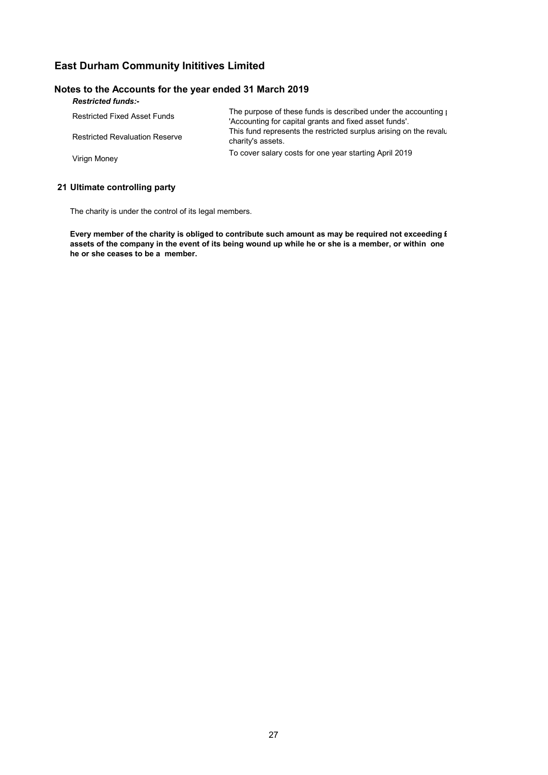## **Notes to the Accounts for the year ended 31 March 2019**

| <b>Restricted funds:-</b>             |                                                                                                                              |
|---------------------------------------|------------------------------------------------------------------------------------------------------------------------------|
| <b>Restricted Fixed Asset Funds</b>   | The purpose of these funds is described under the accounting port-<br>'Accounting for capital grants and fixed asset funds'. |
| <b>Restricted Revaluation Reserve</b> | This fund represents the restricted surplus arising on the revalued<br>charity's assets.                                     |
| Virign Money                          | To cover salary costs for one year starting April 2019                                                                       |

# **21 Ultimate controlling party**

The charity is under the control of its legal members.

**Every member of the charity is obliged to contribute such amount as may be required not exceeding £ assets of the company in the event of its being wound up while he or she is a member, or within one he or she ceases to be a member.**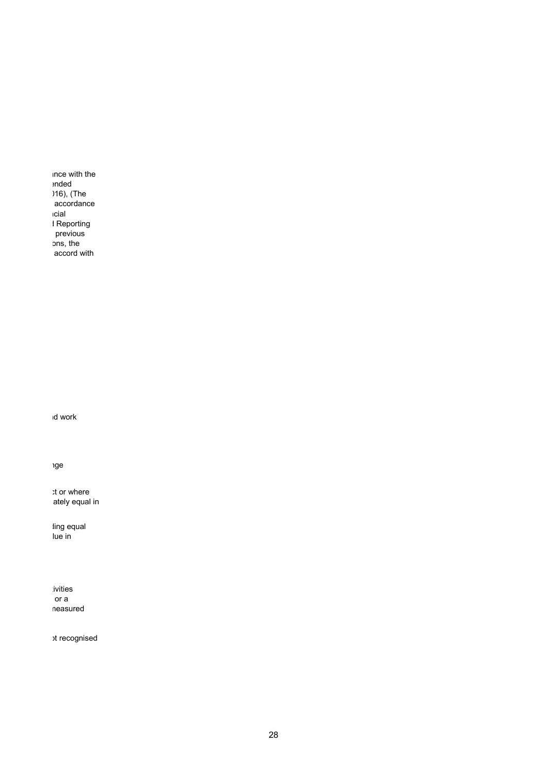ance with the ended 016), (The accordance ncial d Reporting previous ons, the accord with

nd work

nge

ct or where ately equal in

ding equal lue in

ivities or a measured

ot recognised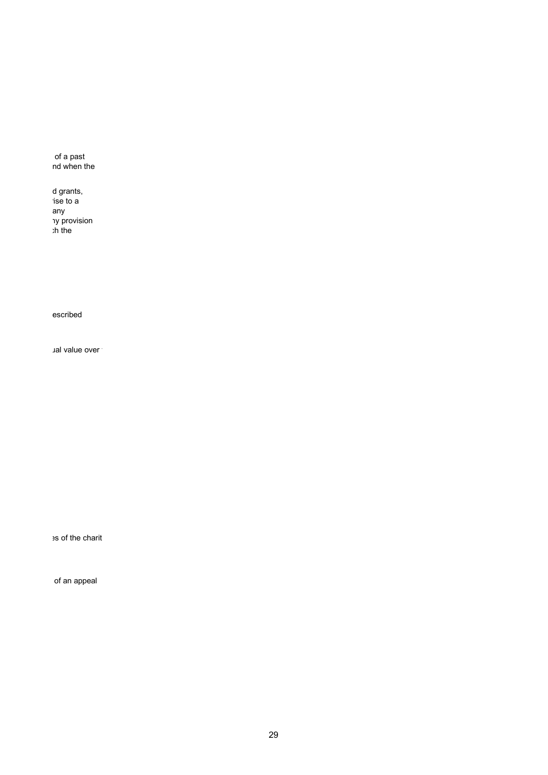of a past nd when the

d grants, rise to a any ny provision ch the

escribed

ual value over t

es of the charit

of an appeal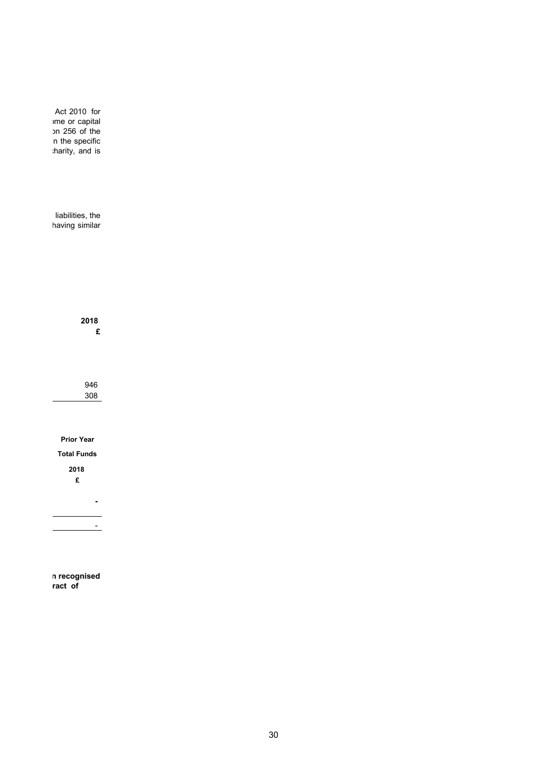Act 2010 for ome or capital on 256 of the n the specific harity, and is

liabilities, the having similar

> 946 308

**2018 £**

**Prior Year**

**Total Funds**

**2018 £**

**-**

-

**n recognised ract of**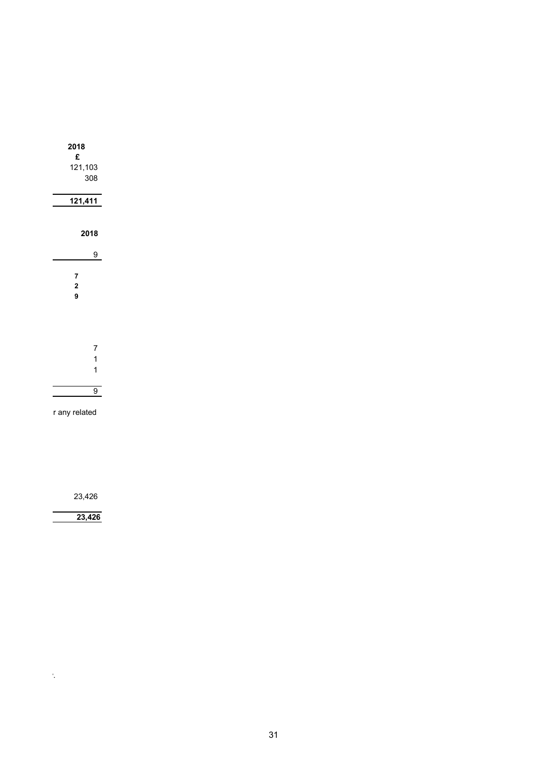| 2018<br>£                |
|--------------------------|
| 121,103                  |
| 308                      |
|                          |
| 121,411                  |
|                          |
| 2018                     |
| 9                        |
| 7<br>$\overline{c}$<br>9 |
| 7<br>1                   |

r any related

23,426

**23,426** 

 $\mathcal{F}_{\mathcal{G}}$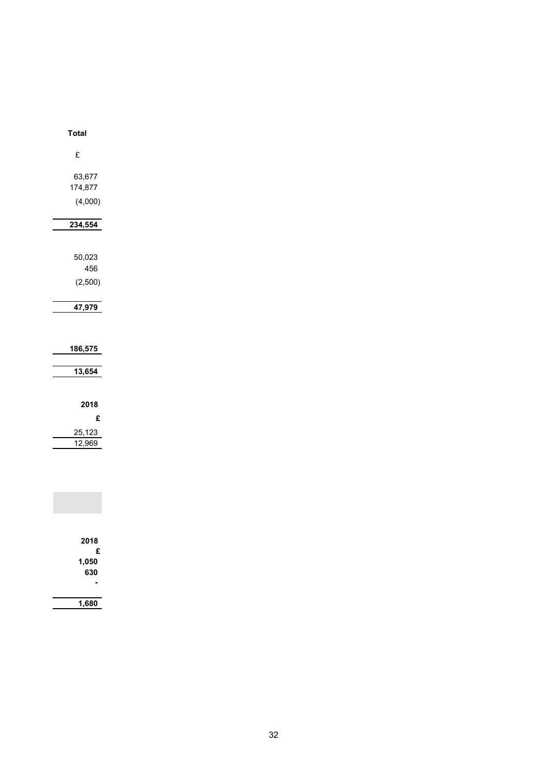| <b>Total</b>             |  |  |
|--------------------------|--|--|
| £                        |  |  |
| 63,677<br>174,877        |  |  |
| (4,000)                  |  |  |
| 234,554                  |  |  |
| 50,023                   |  |  |
| 456<br>(2,500)           |  |  |
| 47,979                   |  |  |
| 186,575                  |  |  |
| 13,654                   |  |  |
| 2018                     |  |  |
| £<br>25,123              |  |  |
| 12,969                   |  |  |
|                          |  |  |
|                          |  |  |
| 2018                     |  |  |
| £<br>1,050<br><b>630</b> |  |  |

**1,680**

**630-**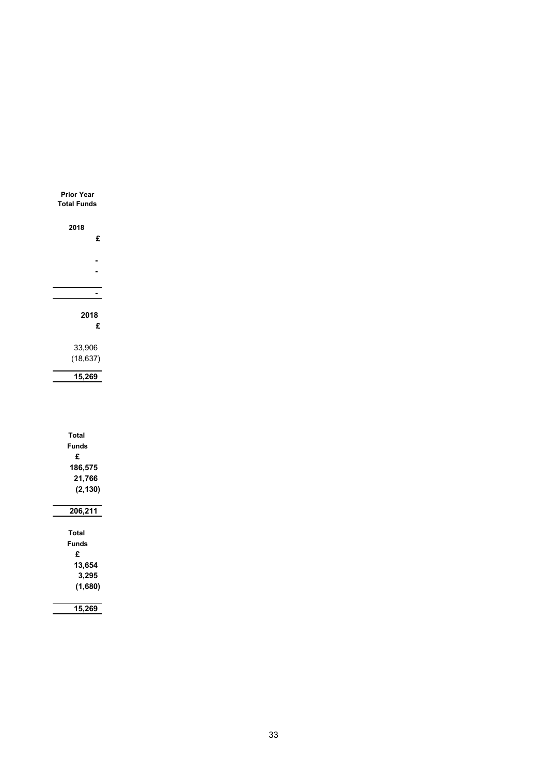| <b>Prior Year</b><br><b>Total Funds</b> |
|-----------------------------------------|
| 2018                                    |
| £                                       |
|                                         |
|                                         |
|                                         |
|                                         |
|                                         |
| 2018<br>£                               |
| 33,906                                  |
| (18, 637)                               |
| 15,269                                  |
|                                         |
| <b>Total</b><br><b>Funds</b><br>£       |
| 186,575                                 |
| 21,766                                  |
| (2, 130)                                |
| 206,211                                 |
| <b>Total</b>                            |
| <b>Funds</b>                            |
| £                                       |
| 13,654                                  |
| 3,295<br>(1,680)                        |
|                                         |
| 15,269                                  |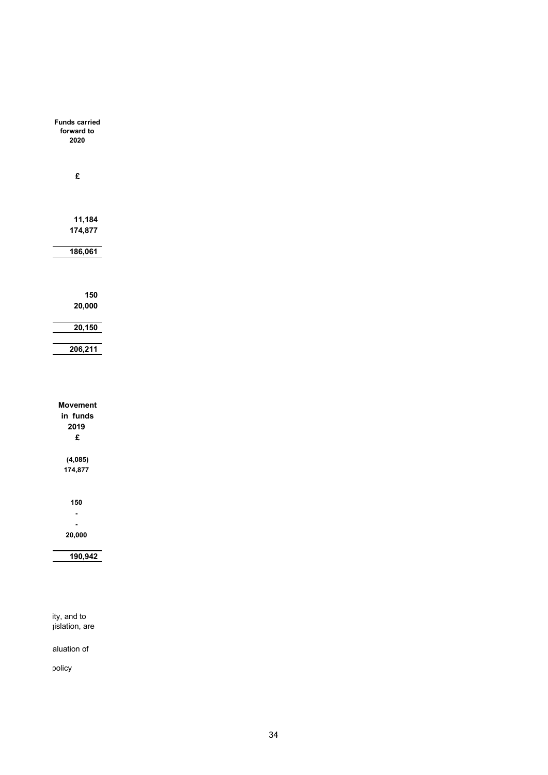| <b>Funds carried</b><br>forward to<br>2020 |  |
|--------------------------------------------|--|
| £                                          |  |
| 11,184<br>174,877                          |  |
| 186,061                                    |  |
|                                            |  |
| 150                                        |  |
| 20,000                                     |  |
| 20,150                                     |  |
| 206,211                                    |  |
|                                            |  |
|                                            |  |
| <b>Movement</b>                            |  |
| in funds                                   |  |
| 2019<br>£                                  |  |
|                                            |  |
| (4,085)                                    |  |
| 174,877                                    |  |
|                                            |  |
| 150                                        |  |
| Ĭ.                                         |  |
| 20,000                                     |  |
|                                            |  |
| 190,942                                    |  |
|                                            |  |

ity, and to gislation, are

aluation of

policy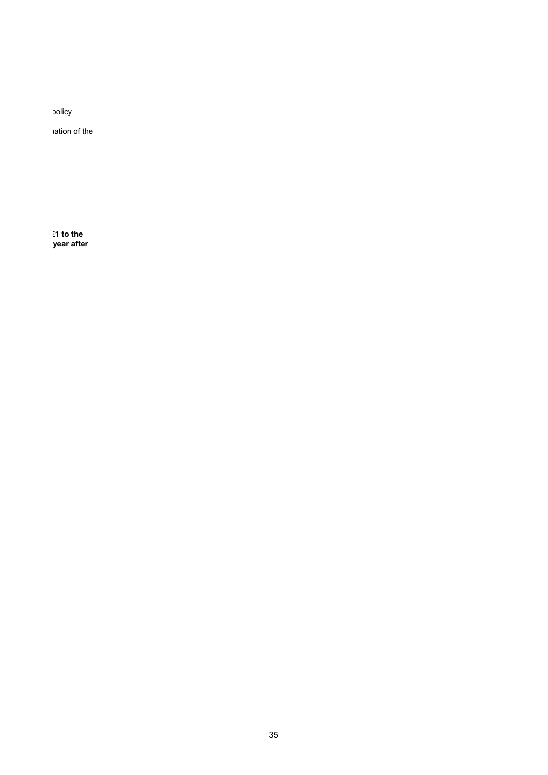policy

uation of the

**£1 to the year after**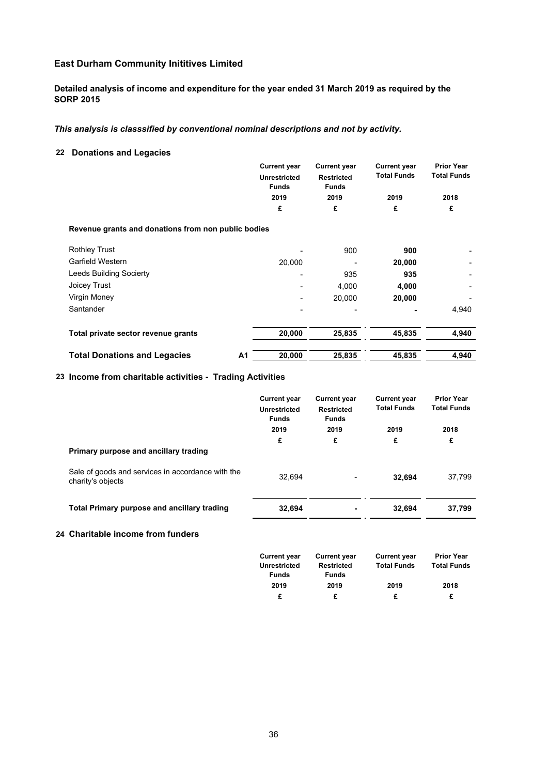## **Detailed analysis of income and expenditure for the year ended 31 March 2019 as required by the SORP 2015**

## *This analysis is classsified by conventional nominal descriptions and not by activity.*

## **22 Donations and Legacies**

|                                                     |                | <b>Current year</b>                 | <b>Current year</b>               | <b>Current year</b> | <b>Prior Year</b>  |  |
|-----------------------------------------------------|----------------|-------------------------------------|-----------------------------------|---------------------|--------------------|--|
|                                                     |                | <b>Unrestricted</b><br><b>Funds</b> | <b>Restricted</b><br><b>Funds</b> | <b>Total Funds</b>  | <b>Total Funds</b> |  |
|                                                     |                | 2019<br>2019                        |                                   | 2019                | 2018               |  |
|                                                     |                | £                                   | £                                 | £                   | £                  |  |
| Revenue grants and donations from non public bodies |                |                                     |                                   |                     |                    |  |
| <b>Rothley Trust</b>                                |                |                                     | 900                               | 900                 |                    |  |
| Garfield Western                                    |                | 20,000                              |                                   | 20,000              |                    |  |
| Leeds Building Socierty                             |                |                                     | 935                               | 935                 |                    |  |
| Joicey Trust                                        |                |                                     | 4,000                             | 4,000               |                    |  |
| Virgin Money                                        |                |                                     | 20,000                            | 20,000              |                    |  |
| Santander                                           |                |                                     |                                   |                     | 4,940              |  |
| Total private sector revenue grants                 |                | 20,000                              | 25,835                            | 45,835              | 4,940              |  |
| <b>Total Donations and Legacies</b>                 | A <sub>1</sub> | 20,000                              | 25,835                            | 45.835              | 4,940              |  |

## **23 Income from charitable activities - Trading Activities**

|                                                                        | <b>Current year</b><br><b>Unrestricted</b><br><b>Funds</b> | <b>Current year</b><br><b>Restricted</b><br><b>Funds</b> | <b>Current year</b><br><b>Total Funds</b> | <b>Prior Year</b><br><b>Total Funds</b> |  |
|------------------------------------------------------------------------|------------------------------------------------------------|----------------------------------------------------------|-------------------------------------------|-----------------------------------------|--|
|                                                                        | 2019                                                       | 2019                                                     | 2019                                      | 2018                                    |  |
|                                                                        | £                                                          | £                                                        | £                                         | £                                       |  |
| Primary purpose and ancillary trading                                  |                                                            |                                                          |                                           |                                         |  |
| Sale of goods and services in accordance with the<br>charity's objects | 32.694                                                     |                                                          | 32.694                                    | 37,799                                  |  |
| <b>Total Primary purpose and ancillary trading</b>                     | 32,694                                                     | ۰                                                        | 32.694                                    | 37,799                                  |  |

# **24 Charitable income from funders**

| <b>Current year</b> | <b>Current year</b> | <b>Current year</b> | <b>Prior Year</b>  |
|---------------------|---------------------|---------------------|--------------------|
| Unrestricted        | Restricted          | <b>Total Funds</b>  | <b>Total Funds</b> |
| <b>Funds</b>        | <b>Funds</b>        |                     |                    |
| 2019                | 2019                | 2019                | 2018               |
| £                   | £                   | £                   | £                  |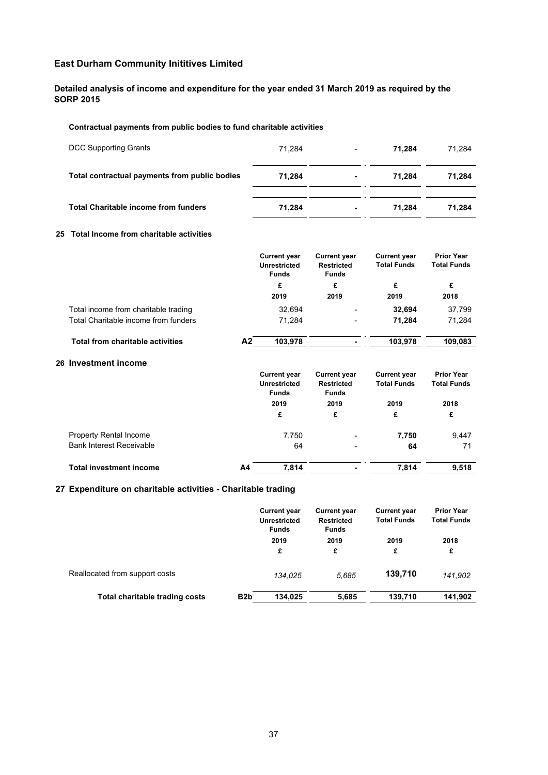**Detailed analysis of income and expenditure for the year ended 31 March 2019 as required by the SORP 2015**

### **Contractual payments from public bodies to fund charitable activities**

| DCC Supporting Grants                         | 71.284 | $\overline{\phantom{0}}$ | 71.284 | 71.284 |
|-----------------------------------------------|--------|--------------------------|--------|--------|
| Total contractual payments from public bodies | 71.284 | $\blacksquare$           | 71.284 | 71.284 |
| <b>Total Charitable income from funders</b>   | 71.284 | ۰.                       | 71.284 | 71.284 |

#### **25 Total Income from charitable activities**

|                                         | <b>Current year</b><br><b>Unrestricted</b><br><b>Funds</b> |         | <b>Current year</b><br><b>Restricted</b><br><b>Funds</b> | <b>Current year</b><br><b>Total Funds</b> | <b>Prior Year</b><br><b>Total Funds</b> |
|-----------------------------------------|------------------------------------------------------------|---------|----------------------------------------------------------|-------------------------------------------|-----------------------------------------|
|                                         | £                                                          | £       |                                                          | £                                         | £                                       |
|                                         | 2019                                                       |         | 2019                                                     | 2019                                      | 2018                                    |
| Total income from charitable trading    |                                                            | 32.694  | -                                                        | 32.694                                    | 37,799                                  |
| Total Charitable income from funders    |                                                            | 71.284  | $\overline{\phantom{a}}$                                 | 71.284                                    | 71,284                                  |
| <b>Total from charitable activities</b> | Α2                                                         | 103.978 |                                                          | 103,978                                   | 109.083                                 |

### **26 Investment income**

|                                 | <b>Current year</b><br><b>Unrestricted</b><br><b>Funds</b> | <b>Current year</b><br><b>Restricted</b><br><b>Funds</b> | <b>Current year</b><br><b>Total Funds</b><br>2019 | <b>Prior Year</b><br><b>Total Funds</b> |
|---------------------------------|------------------------------------------------------------|----------------------------------------------------------|---------------------------------------------------|-----------------------------------------|
|                                 | 2019                                                       | 2019                                                     |                                                   | 2018                                    |
|                                 | £                                                          | £                                                        | £                                                 | £                                       |
| <b>Property Rental Income</b>   | 7,750                                                      | -                                                        | 7,750                                             | 9,447                                   |
| <b>Bank Interest Receivable</b> | 64                                                         | -                                                        | 64                                                | 71                                      |
| <b>Total investment income</b>  | A4<br>7,814                                                |                                                          | 7.814                                             | 9,518                                   |

# **27 Expenditure on charitable activities - Charitable trading**

|                                | <b>Current year</b><br><b>Unrestricted</b><br><b>Funds</b> | <b>Current year</b><br><b>Restricted</b><br><b>Funds</b> | <b>Current year</b><br><b>Total Funds</b> | <b>Prior Year</b><br><b>Total Funds</b> |           |
|--------------------------------|------------------------------------------------------------|----------------------------------------------------------|-------------------------------------------|-----------------------------------------|-----------|
|                                |                                                            | 2019<br>£                                                | 2019<br>£                                 | 2019<br>£                               | 2018<br>£ |
| Reallocated from support costs |                                                            | 134.025                                                  | 5.685                                     | 139,710                                 | 141.902   |
| Total charitable trading costs | B <sub>2</sub> b                                           | 134.025                                                  | 5,685                                     | 139,710                                 | 141,902   |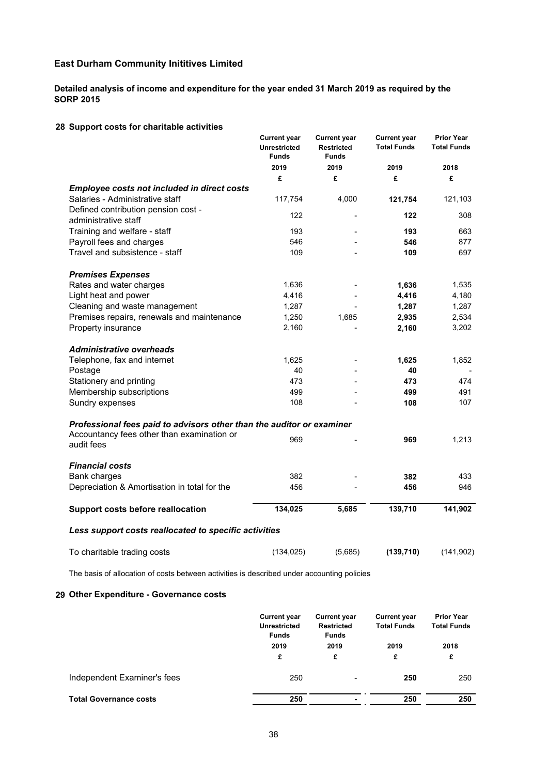**Detailed analysis of income and expenditure for the year ended 31 March 2019 as required by the SORP 2015**

### **28 Support costs for charitable activities**

|                                                                       | <b>Current year</b><br><b>Unrestricted</b><br><b>Funds</b> | <b>Current year</b><br><b>Restricted</b><br><b>Funds</b> | <b>Current year</b><br><b>Total Funds</b> | <b>Prior Year</b><br><b>Total Funds</b> |
|-----------------------------------------------------------------------|------------------------------------------------------------|----------------------------------------------------------|-------------------------------------------|-----------------------------------------|
|                                                                       | 2019                                                       | 2019                                                     | 2019                                      | 2018                                    |
|                                                                       | £                                                          | £                                                        | £                                         | £                                       |
| <b>Employee costs not included in direct costs</b>                    |                                                            |                                                          |                                           |                                         |
| Salaries - Administrative staff                                       | 117,754                                                    | 4,000                                                    | 121,754                                   | 121,103                                 |
| Defined contribution pension cost -                                   | 122                                                        |                                                          | 122                                       | 308                                     |
| administrative staff                                                  |                                                            |                                                          |                                           |                                         |
| Training and welfare - staff                                          | 193                                                        |                                                          | 193                                       | 663                                     |
| Payroll fees and charges<br>Travel and subsistence - staff            | 546                                                        |                                                          | 546                                       | 877                                     |
|                                                                       | 109                                                        |                                                          | 109                                       | 697                                     |
| <b>Premises Expenses</b>                                              |                                                            |                                                          |                                           |                                         |
| Rates and water charges                                               | 1,636                                                      |                                                          | 1,636                                     | 1,535                                   |
| Light heat and power                                                  | 4,416                                                      |                                                          | 4,416                                     | 4,180                                   |
| Cleaning and waste management                                         | 1,287                                                      |                                                          | 1,287                                     | 1,287                                   |
| Premises repairs, renewals and maintenance                            | 1,250                                                      | 1,685                                                    | 2,935                                     | 2,534                                   |
| Property insurance                                                    | 2,160                                                      |                                                          | 2,160                                     | 3,202                                   |
| <b>Administrative overheads</b>                                       |                                                            |                                                          |                                           |                                         |
| Telephone, fax and internet                                           | 1,625                                                      |                                                          | 1,625                                     | 1,852                                   |
| Postage                                                               | 40                                                         |                                                          | 40                                        |                                         |
| Stationery and printing                                               | 473                                                        |                                                          | 473                                       | 474                                     |
| Membership subscriptions                                              | 499                                                        |                                                          | 499                                       | 491                                     |
| Sundry expenses                                                       | 108                                                        |                                                          | 108                                       | 107                                     |
|                                                                       |                                                            |                                                          |                                           |                                         |
| Professional fees paid to advisors other than the auditor or examiner |                                                            |                                                          |                                           |                                         |
| Accountancy fees other than examination or                            | 969                                                        |                                                          | 969                                       | 1,213                                   |
| audit fees                                                            |                                                            |                                                          |                                           |                                         |
| <b>Financial costs</b>                                                |                                                            |                                                          |                                           |                                         |
| <b>Bank charges</b>                                                   | 382                                                        |                                                          | 382                                       | 433                                     |
| Depreciation & Amortisation in total for the                          | 456                                                        |                                                          | 456                                       | 946                                     |
|                                                                       |                                                            |                                                          |                                           |                                         |
| <b>Support costs before reallocation</b>                              | 134,025                                                    | 5,685                                                    | 139,710                                   | 141,902                                 |
| Less support costs reallocated to specific activities                 |                                                            |                                                          |                                           |                                         |
| To charitable trading costs                                           | (134, 025)                                                 | (5,685)                                                  | (139, 710)                                | (141, 902)                              |
|                                                                       |                                                            |                                                          |                                           |                                         |

The basis of allocation of costs between activities is described under accounting policies

## **29 Other Expenditure - Governance costs**

|                               | <b>Current year</b><br><b>Unrestricted</b><br><b>Funds</b> | <b>Current year</b><br><b>Restricted</b><br><b>Funds</b> | <b>Current year</b><br><b>Total Funds</b> | <b>Prior Year</b><br><b>Total Funds</b> |
|-------------------------------|------------------------------------------------------------|----------------------------------------------------------|-------------------------------------------|-----------------------------------------|
|                               | 2019<br>£                                                  | 2019<br>£                                                | 2019<br>£                                 | 2018<br>£                               |
| Independent Examiner's fees   | 250                                                        | ۰                                                        | 250                                       | 250                                     |
| <b>Total Governance costs</b> | 250                                                        | $\blacksquare$                                           | 250                                       | 250                                     |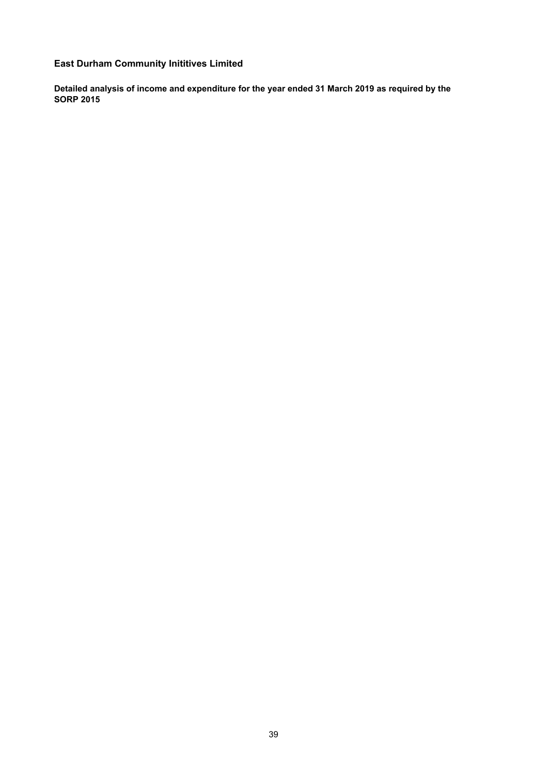**Detailed analysis of income and expenditure for the year ended 31 March 2019 as required by the SORP 2015**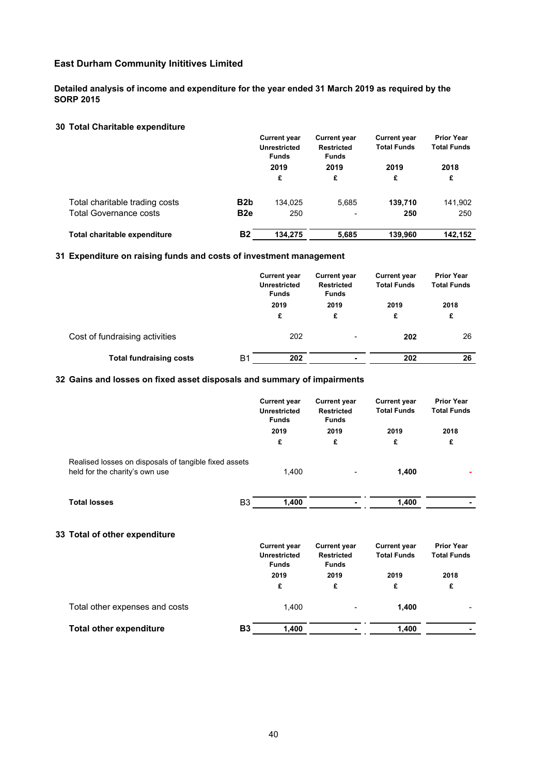**Detailed analysis of income and expenditure for the year ended 31 March 2019 as required by the SORP 2015**

## **30 Total Charitable expenditure**

|                                |                  | <b>Current year</b><br><b>Unrestricted</b><br><b>Funds</b><br>2019<br>£ |       |         | <b>Current year</b><br><b>Restricted</b><br><b>Funds</b> | <b>Current year</b><br><b>Total Funds</b> | <b>Prior Year</b><br><b>Total Funds</b> |
|--------------------------------|------------------|-------------------------------------------------------------------------|-------|---------|----------------------------------------------------------|-------------------------------------------|-----------------------------------------|
|                                |                  |                                                                         |       | 2019    | 2019                                                     | 2018                                      |                                         |
|                                |                  |                                                                         | £     | £       | £                                                        |                                           |                                         |
| Total charitable trading costs | B <sub>2</sub> b | 134.025                                                                 | 5,685 | 139.710 | 141,902                                                  |                                           |                                         |
| <b>Total Governance costs</b>  | B <sub>2e</sub>  | 250                                                                     |       | 250     | 250                                                      |                                           |                                         |
| Total charitable expenditure   | Β2               | 134.275                                                                 | 5.685 | 139.960 | 142.152                                                  |                                           |                                         |

### **31 Expenditure on raising funds and costs of investment management**

|                                | <b>Current year</b><br><b>Unrestricted</b><br><b>Funds</b> | <b>Current year</b><br><b>Restricted</b><br><b>Funds</b> | <b>Current year</b><br><b>Total Funds</b> | <b>Prior Year</b><br><b>Total Funds</b> |
|--------------------------------|------------------------------------------------------------|----------------------------------------------------------|-------------------------------------------|-----------------------------------------|
|                                | 2019                                                       | 2019                                                     | 2019                                      | 2018                                    |
|                                | £                                                          | £                                                        | £                                         | £                                       |
| Cost of fundraising activities | 202                                                        | $\overline{\phantom{0}}$                                 | 202                                       | 26                                      |
| <b>Total fundraising costs</b> | Β1<br>202                                                  | $\blacksquare$                                           | 202                                       | 26                                      |

# **32 Gains and losses on fixed asset disposals and summary of impairments**

|                                                                                         | <b>Funds</b> | <b>Current year</b><br><b>Current year</b><br><b>Unrestricted</b><br><b>Restricted</b><br><b>Funds</b><br>2019<br>2019 | <b>Current year</b><br><b>Total Funds</b> | <b>Prior Year</b><br><b>Total Funds</b><br>2018<br>£ |
|-----------------------------------------------------------------------------------------|--------------|------------------------------------------------------------------------------------------------------------------------|-------------------------------------------|------------------------------------------------------|
|                                                                                         |              |                                                                                                                        | 2019                                      |                                                      |
|                                                                                         | £            | £                                                                                                                      | £                                         |                                                      |
| Realised losses on disposals of tangible fixed assets<br>held for the charity's own use | 1,400        | $\overline{\phantom{0}}$                                                                                               | 1,400                                     |                                                      |
| <b>Total losses</b>                                                                     | B3<br>1,400  |                                                                                                                        | 1,400                                     |                                                      |
| 33 Total of other expenditure                                                           |              |                                                                                                                        |                                           |                                                      |

|                                | <b>Current year</b><br><b>Unrestricted</b><br><b>Funds</b> | <b>Current year</b><br><b>Restricted</b><br><b>Funds</b> | <b>Current year</b><br><b>Total Funds</b> | <b>Prior Year</b><br><b>Total Funds</b> |      |
|--------------------------------|------------------------------------------------------------|----------------------------------------------------------|-------------------------------------------|-----------------------------------------|------|
|                                |                                                            | 2019                                                     | 2019                                      | 2019                                    | 2018 |
|                                | £                                                          | £                                                        | £                                         | £                                       |      |
| Total other expenses and costs |                                                            | 1.400                                                    | $\overline{\phantom{a}}$                  | 1.400                                   |      |
| <b>Total other expenditure</b> | <b>B3</b>                                                  | 1.400                                                    |                                           | 1.400                                   |      |